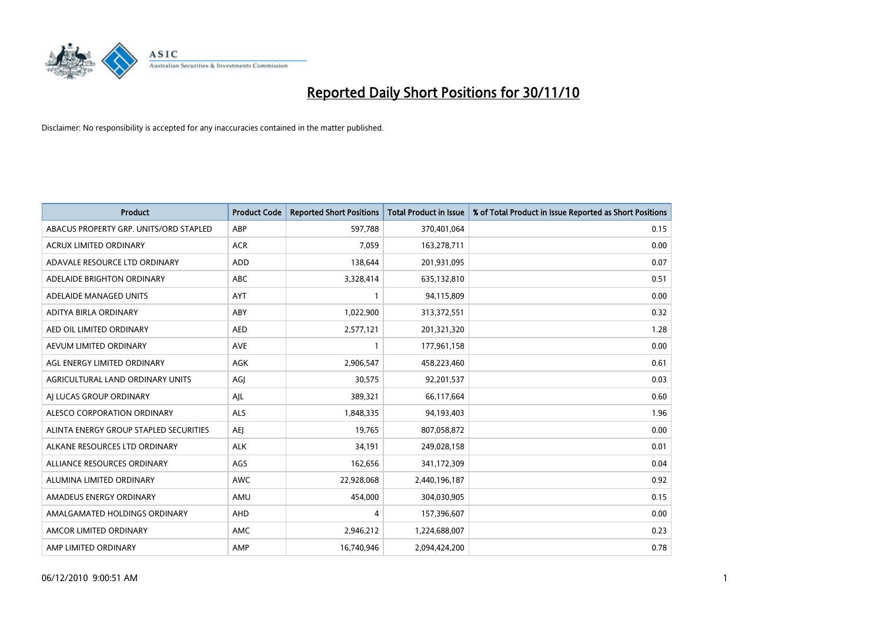

| <b>Product</b>                         | <b>Product Code</b> | <b>Reported Short Positions</b> | <b>Total Product in Issue</b> | % of Total Product in Issue Reported as Short Positions |
|----------------------------------------|---------------------|---------------------------------|-------------------------------|---------------------------------------------------------|
| ABACUS PROPERTY GRP. UNITS/ORD STAPLED | ABP                 | 597,788                         | 370,401,064                   | 0.15                                                    |
| ACRUX LIMITED ORDINARY                 | <b>ACR</b>          | 7,059                           | 163,278,711                   | 0.00                                                    |
| ADAVALE RESOURCE LTD ORDINARY          | ADD                 | 138,644                         | 201,931,095                   | 0.07                                                    |
| ADELAIDE BRIGHTON ORDINARY             | <b>ABC</b>          | 3,328,414                       | 635,132,810                   | 0.51                                                    |
| ADELAIDE MANAGED UNITS                 | <b>AYT</b>          |                                 | 94,115,809                    | 0.00                                                    |
| ADITYA BIRLA ORDINARY                  | ABY                 | 1,022,900                       | 313,372,551                   | 0.32                                                    |
| AED OIL LIMITED ORDINARY               | <b>AED</b>          | 2,577,121                       | 201,321,320                   | 1.28                                                    |
| AEVUM LIMITED ORDINARY                 | <b>AVE</b>          |                                 | 177,961,158                   | 0.00                                                    |
| AGL ENERGY LIMITED ORDINARY            | <b>AGK</b>          | 2,906,547                       | 458,223,460                   | 0.61                                                    |
| AGRICULTURAL LAND ORDINARY UNITS       | AGI                 | 30,575                          | 92,201,537                    | 0.03                                                    |
| AI LUCAS GROUP ORDINARY                | AJL                 | 389,321                         | 66,117,664                    | 0.60                                                    |
| ALESCO CORPORATION ORDINARY            | <b>ALS</b>          | 1,848,335                       | 94,193,403                    | 1.96                                                    |
| ALINTA ENERGY GROUP STAPLED SECURITIES | <b>AEI</b>          | 19,765                          | 807,058,872                   | 0.00                                                    |
| ALKANE RESOURCES LTD ORDINARY          | <b>ALK</b>          | 34,191                          | 249,028,158                   | 0.01                                                    |
| ALLIANCE RESOURCES ORDINARY            | AGS                 | 162,656                         | 341,172,309                   | 0.04                                                    |
| ALUMINA LIMITED ORDINARY               | <b>AWC</b>          | 22,928,068                      | 2,440,196,187                 | 0.92                                                    |
| AMADEUS ENERGY ORDINARY                | AMU                 | 454,000                         | 304,030,905                   | 0.15                                                    |
| AMALGAMATED HOLDINGS ORDINARY          | <b>AHD</b>          | 4                               | 157,396,607                   | 0.00                                                    |
| AMCOR LIMITED ORDINARY                 | AMC                 | 2,946,212                       | 1,224,688,007                 | 0.23                                                    |
| AMP LIMITED ORDINARY                   | AMP                 | 16,740,946                      | 2,094,424,200                 | 0.78                                                    |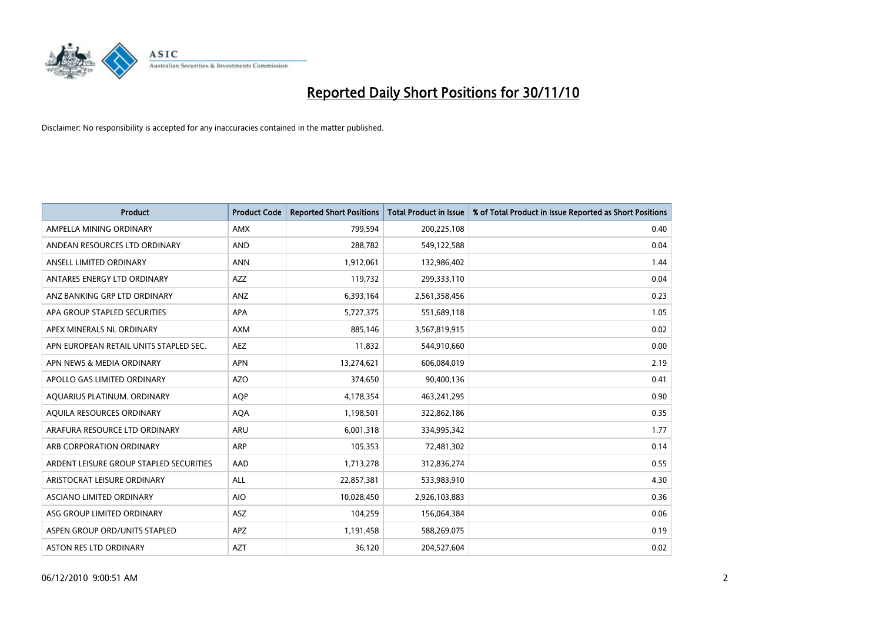

| <b>Product</b>                          | <b>Product Code</b> | <b>Reported Short Positions</b> | Total Product in Issue | % of Total Product in Issue Reported as Short Positions |
|-----------------------------------------|---------------------|---------------------------------|------------------------|---------------------------------------------------------|
| AMPELLA MINING ORDINARY                 | <b>AMX</b>          | 799,594                         | 200,225,108            | 0.40                                                    |
| ANDEAN RESOURCES LTD ORDINARY           | <b>AND</b>          | 288,782                         | 549,122,588            | 0.04                                                    |
| ANSELL LIMITED ORDINARY                 | <b>ANN</b>          | 1,912,061                       | 132,986,402            | 1.44                                                    |
| ANTARES ENERGY LTD ORDINARY             | <b>AZZ</b>          | 119,732                         | 299,333,110            | 0.04                                                    |
| ANZ BANKING GRP LTD ORDINARY            | <b>ANZ</b>          | 6,393,164                       | 2,561,358,456          | 0.23                                                    |
| APA GROUP STAPLED SECURITIES            | <b>APA</b>          | 5,727,375                       | 551,689,118            | 1.05                                                    |
| APEX MINERALS NL ORDINARY               | <b>AXM</b>          | 885,146                         | 3,567,819,915          | 0.02                                                    |
| APN EUROPEAN RETAIL UNITS STAPLED SEC.  | <b>AEZ</b>          | 11,832                          | 544,910,660            | 0.00                                                    |
| APN NEWS & MEDIA ORDINARY               | <b>APN</b>          | 13,274,621                      | 606,084,019            | 2.19                                                    |
| APOLLO GAS LIMITED ORDINARY             | <b>AZO</b>          | 374,650                         | 90,400,136             | 0.41                                                    |
| AQUARIUS PLATINUM. ORDINARY             | <b>AQP</b>          | 4,178,354                       | 463,241,295            | 0.90                                                    |
| AQUILA RESOURCES ORDINARY               | <b>AQA</b>          | 1,198,501                       | 322,862,186            | 0.35                                                    |
| ARAFURA RESOURCE LTD ORDINARY           | <b>ARU</b>          | 6,001,318                       | 334,995,342            | 1.77                                                    |
| ARB CORPORATION ORDINARY                | <b>ARP</b>          | 105,353                         | 72,481,302             | 0.14                                                    |
| ARDENT LEISURE GROUP STAPLED SECURITIES | AAD                 | 1,713,278                       | 312,836,274            | 0.55                                                    |
| ARISTOCRAT LEISURE ORDINARY             | <b>ALL</b>          | 22,857,381                      | 533,983,910            | 4.30                                                    |
| ASCIANO LIMITED ORDINARY                | <b>AIO</b>          | 10,028,450                      | 2,926,103,883          | 0.36                                                    |
| ASG GROUP LIMITED ORDINARY              | <b>ASZ</b>          | 104,259                         | 156,064,384            | 0.06                                                    |
| ASPEN GROUP ORD/UNITS STAPLED           | APZ                 | 1,191,458                       | 588,269,075            | 0.19                                                    |
| ASTON RES LTD ORDINARY                  | <b>AZT</b>          | 36,120                          | 204,527,604            | 0.02                                                    |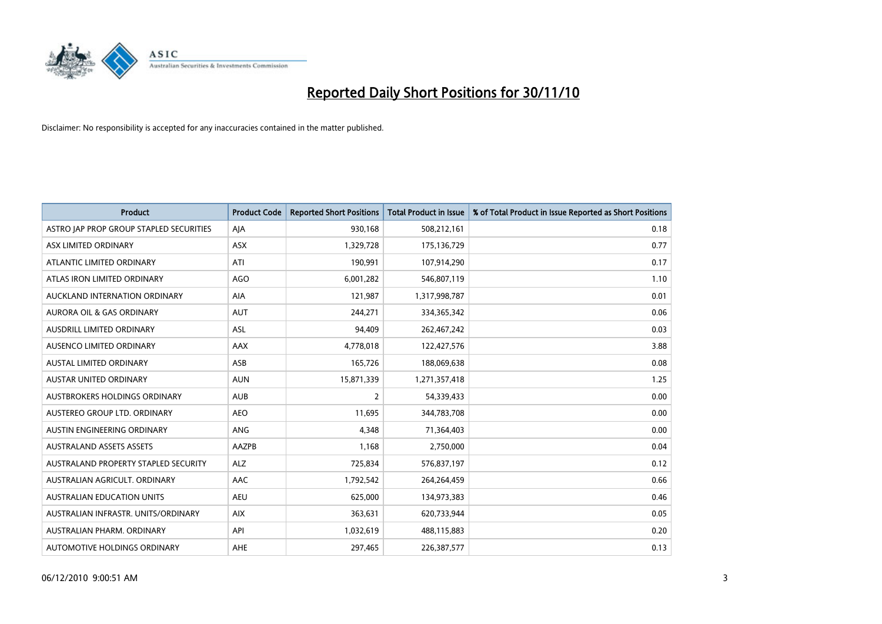

| <b>Product</b>                          | <b>Product Code</b> | <b>Reported Short Positions</b> | Total Product in Issue | % of Total Product in Issue Reported as Short Positions |
|-----------------------------------------|---------------------|---------------------------------|------------------------|---------------------------------------------------------|
| ASTRO JAP PROP GROUP STAPLED SECURITIES | AJA                 | 930,168                         | 508,212,161            | 0.18                                                    |
| ASX LIMITED ORDINARY                    | <b>ASX</b>          | 1,329,728                       | 175,136,729            | 0.77                                                    |
| ATLANTIC LIMITED ORDINARY               | ATI                 | 190,991                         | 107,914,290            | 0.17                                                    |
| ATLAS IRON LIMITED ORDINARY             | <b>AGO</b>          | 6,001,282                       | 546,807,119            | 1.10                                                    |
| AUCKLAND INTERNATION ORDINARY           | AIA                 | 121,987                         | 1,317,998,787          | 0.01                                                    |
| <b>AURORA OIL &amp; GAS ORDINARY</b>    | <b>AUT</b>          | 244,271                         | 334,365,342            | 0.06                                                    |
| AUSDRILL LIMITED ORDINARY               | <b>ASL</b>          | 94.409                          | 262,467,242            | 0.03                                                    |
| AUSENCO LIMITED ORDINARY                | <b>AAX</b>          | 4,778,018                       | 122,427,576            | 3.88                                                    |
| AUSTAL LIMITED ORDINARY                 | ASB                 | 165,726                         | 188,069,638            | 0.08                                                    |
| <b>AUSTAR UNITED ORDINARY</b>           | <b>AUN</b>          | 15,871,339                      | 1,271,357,418          | 1.25                                                    |
| AUSTBROKERS HOLDINGS ORDINARY           | <b>AUB</b>          | 2                               | 54,339,433             | 0.00                                                    |
| AUSTEREO GROUP LTD. ORDINARY            | <b>AEO</b>          | 11,695                          | 344,783,708            | 0.00                                                    |
| AUSTIN ENGINEERING ORDINARY             | <b>ANG</b>          | 4.348                           | 71,364,403             | 0.00                                                    |
| <b>AUSTRALAND ASSETS ASSETS</b>         | <b>AAZPB</b>        | 1.168                           | 2,750,000              | 0.04                                                    |
| AUSTRALAND PROPERTY STAPLED SECURITY    | <b>ALZ</b>          | 725,834                         | 576,837,197            | 0.12                                                    |
| AUSTRALIAN AGRICULT, ORDINARY           | <b>AAC</b>          | 1,792,542                       | 264,264,459            | 0.66                                                    |
| <b>AUSTRALIAN EDUCATION UNITS</b>       | <b>AEU</b>          | 625,000                         | 134,973,383            | 0.46                                                    |
| AUSTRALIAN INFRASTR. UNITS/ORDINARY     | <b>AIX</b>          | 363,631                         | 620,733,944            | 0.05                                                    |
| AUSTRALIAN PHARM, ORDINARY              | API                 | 1,032,619                       | 488,115,883            | 0.20                                                    |
| AUTOMOTIVE HOLDINGS ORDINARY            | <b>AHE</b>          | 297,465                         | 226,387,577            | 0.13                                                    |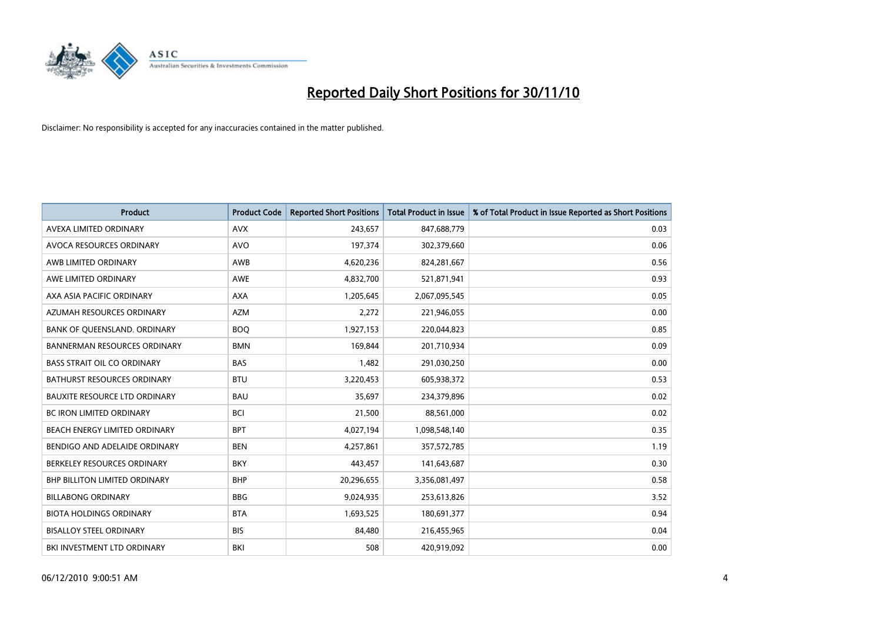

| <b>Product</b>                       | <b>Product Code</b> | <b>Reported Short Positions</b> | <b>Total Product in Issue</b> | % of Total Product in Issue Reported as Short Positions |
|--------------------------------------|---------------------|---------------------------------|-------------------------------|---------------------------------------------------------|
| AVEXA LIMITED ORDINARY               | <b>AVX</b>          | 243,657                         | 847,688,779                   | 0.03                                                    |
| AVOCA RESOURCES ORDINARY             | <b>AVO</b>          | 197,374                         | 302,379,660                   | 0.06                                                    |
| AWB LIMITED ORDINARY                 | <b>AWB</b>          | 4,620,236                       | 824,281,667                   | 0.56                                                    |
| AWE LIMITED ORDINARY                 | <b>AWE</b>          | 4,832,700                       | 521,871,941                   | 0.93                                                    |
| AXA ASIA PACIFIC ORDINARY            | <b>AXA</b>          | 1,205,645                       | 2,067,095,545                 | 0.05                                                    |
| AZUMAH RESOURCES ORDINARY            | <b>AZM</b>          | 2,272                           | 221,946,055                   | 0.00                                                    |
| BANK OF QUEENSLAND. ORDINARY         | <b>BOQ</b>          | 1,927,153                       | 220,044,823                   | 0.85                                                    |
| <b>BANNERMAN RESOURCES ORDINARY</b>  | <b>BMN</b>          | 169,844                         | 201,710,934                   | 0.09                                                    |
| <b>BASS STRAIT OIL CO ORDINARY</b>   | <b>BAS</b>          | 1,482                           | 291,030,250                   | 0.00                                                    |
| <b>BATHURST RESOURCES ORDINARY</b>   | <b>BTU</b>          | 3,220,453                       | 605,938,372                   | 0.53                                                    |
| <b>BAUXITE RESOURCE LTD ORDINARY</b> | <b>BAU</b>          | 35,697                          | 234,379,896                   | 0.02                                                    |
| <b>BC IRON LIMITED ORDINARY</b>      | <b>BCI</b>          | 21,500                          | 88,561,000                    | 0.02                                                    |
| <b>BEACH ENERGY LIMITED ORDINARY</b> | <b>BPT</b>          | 4,027,194                       | 1,098,548,140                 | 0.35                                                    |
| BENDIGO AND ADELAIDE ORDINARY        | <b>BEN</b>          | 4,257,861                       | 357,572,785                   | 1.19                                                    |
| BERKELEY RESOURCES ORDINARY          | <b>BKY</b>          | 443,457                         | 141,643,687                   | 0.30                                                    |
| BHP BILLITON LIMITED ORDINARY        | <b>BHP</b>          | 20,296,655                      | 3,356,081,497                 | 0.58                                                    |
| <b>BILLABONG ORDINARY</b>            | <b>BBG</b>          | 9,024,935                       | 253,613,826                   | 3.52                                                    |
| <b>BIOTA HOLDINGS ORDINARY</b>       | <b>BTA</b>          | 1,693,525                       | 180,691,377                   | 0.94                                                    |
| <b>BISALLOY STEEL ORDINARY</b>       | <b>BIS</b>          | 84,480                          | 216,455,965                   | 0.04                                                    |
| BKI INVESTMENT LTD ORDINARY          | BKI                 | 508                             | 420,919,092                   | 0.00                                                    |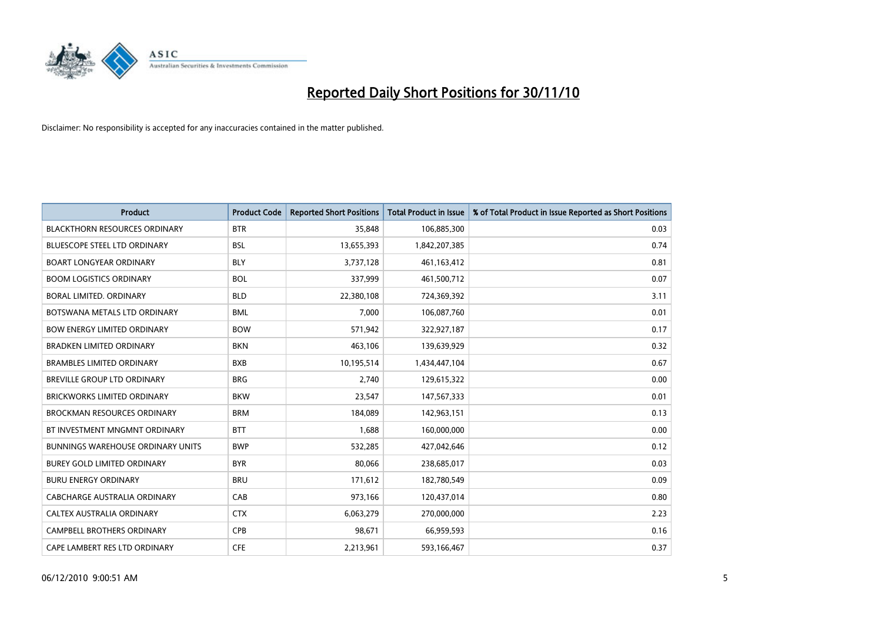

| <b>Product</b>                           | <b>Product Code</b> | <b>Reported Short Positions</b> | <b>Total Product in Issue</b> | % of Total Product in Issue Reported as Short Positions |
|------------------------------------------|---------------------|---------------------------------|-------------------------------|---------------------------------------------------------|
| <b>BLACKTHORN RESOURCES ORDINARY</b>     | <b>BTR</b>          | 35,848                          | 106,885,300                   | 0.03                                                    |
| BLUESCOPE STEEL LTD ORDINARY             | <b>BSL</b>          | 13,655,393                      | 1,842,207,385                 | 0.74                                                    |
| <b>BOART LONGYEAR ORDINARY</b>           | <b>BLY</b>          | 3,737,128                       | 461, 163, 412                 | 0.81                                                    |
| <b>BOOM LOGISTICS ORDINARY</b>           | <b>BOL</b>          | 337,999                         | 461,500,712                   | 0.07                                                    |
| <b>BORAL LIMITED, ORDINARY</b>           | <b>BLD</b>          | 22,380,108                      | 724,369,392                   | 3.11                                                    |
| BOTSWANA METALS LTD ORDINARY             | <b>BML</b>          | 7,000                           | 106,087,760                   | 0.01                                                    |
| <b>BOW ENERGY LIMITED ORDINARY</b>       | <b>BOW</b>          | 571,942                         | 322,927,187                   | 0.17                                                    |
| <b>BRADKEN LIMITED ORDINARY</b>          | <b>BKN</b>          | 463,106                         | 139,639,929                   | 0.32                                                    |
| <b>BRAMBLES LIMITED ORDINARY</b>         | <b>BXB</b>          | 10,195,514                      | 1,434,447,104                 | 0.67                                                    |
| <b>BREVILLE GROUP LTD ORDINARY</b>       | <b>BRG</b>          | 2,740                           | 129,615,322                   | 0.00                                                    |
| <b>BRICKWORKS LIMITED ORDINARY</b>       | <b>BKW</b>          | 23,547                          | 147,567,333                   | 0.01                                                    |
| <b>BROCKMAN RESOURCES ORDINARY</b>       | <b>BRM</b>          | 184,089                         | 142,963,151                   | 0.13                                                    |
| BT INVESTMENT MNGMNT ORDINARY            | <b>BTT</b>          | 1,688                           | 160,000,000                   | 0.00                                                    |
| <b>BUNNINGS WAREHOUSE ORDINARY UNITS</b> | <b>BWP</b>          | 532,285                         | 427,042,646                   | 0.12                                                    |
| <b>BUREY GOLD LIMITED ORDINARY</b>       | <b>BYR</b>          | 80,066                          | 238,685,017                   | 0.03                                                    |
| <b>BURU ENERGY ORDINARY</b>              | <b>BRU</b>          | 171,612                         | 182,780,549                   | 0.09                                                    |
| <b>CABCHARGE AUSTRALIA ORDINARY</b>      | CAB                 | 973,166                         | 120,437,014                   | 0.80                                                    |
| CALTEX AUSTRALIA ORDINARY                | <b>CTX</b>          | 6,063,279                       | 270,000,000                   | 2.23                                                    |
| CAMPBELL BROTHERS ORDINARY               | CPB                 | 98,671                          | 66,959,593                    | 0.16                                                    |
| CAPE LAMBERT RES LTD ORDINARY            | <b>CFE</b>          | 2,213,961                       | 593,166,467                   | 0.37                                                    |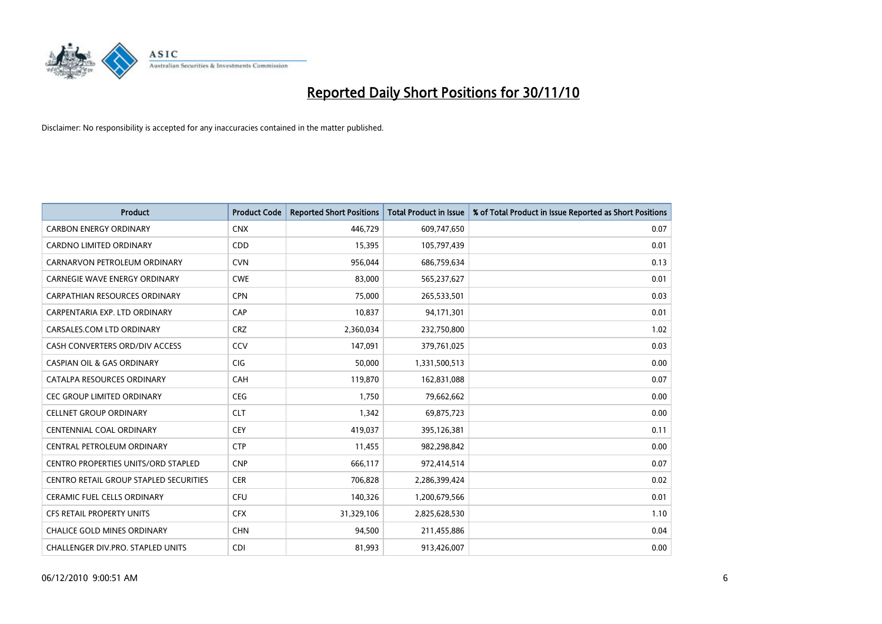

| <b>Product</b>                                | <b>Product Code</b> | <b>Reported Short Positions</b> | <b>Total Product in Issue</b> | % of Total Product in Issue Reported as Short Positions |
|-----------------------------------------------|---------------------|---------------------------------|-------------------------------|---------------------------------------------------------|
| <b>CARBON ENERGY ORDINARY</b>                 | <b>CNX</b>          | 446,729                         | 609,747,650                   | 0.07                                                    |
| <b>CARDNO LIMITED ORDINARY</b>                | CDD                 | 15,395                          | 105,797,439                   | 0.01                                                    |
| CARNARVON PETROLEUM ORDINARY                  | <b>CVN</b>          | 956,044                         | 686,759,634                   | 0.13                                                    |
| CARNEGIE WAVE ENERGY ORDINARY                 | <b>CWE</b>          | 83,000                          | 565,237,627                   | 0.01                                                    |
| <b>CARPATHIAN RESOURCES ORDINARY</b>          | <b>CPN</b>          | 75.000                          | 265,533,501                   | 0.03                                                    |
| CARPENTARIA EXP. LTD ORDINARY                 | CAP                 | 10,837                          | 94,171,301                    | 0.01                                                    |
| CARSALES.COM LTD ORDINARY                     | <b>CRZ</b>          | 2,360,034                       | 232,750,800                   | 1.02                                                    |
| CASH CONVERTERS ORD/DIV ACCESS                | CCV                 | 147,091                         | 379,761,025                   | 0.03                                                    |
| <b>CASPIAN OIL &amp; GAS ORDINARY</b>         | <b>CIG</b>          | 50,000                          | 1,331,500,513                 | 0.00                                                    |
| CATALPA RESOURCES ORDINARY                    | CAH                 | 119,870                         | 162,831,088                   | 0.07                                                    |
| <b>CEC GROUP LIMITED ORDINARY</b>             | <b>CEG</b>          | 1,750                           | 79,662,662                    | 0.00                                                    |
| <b>CELLNET GROUP ORDINARY</b>                 | <b>CLT</b>          | 1,342                           | 69,875,723                    | 0.00                                                    |
| <b>CENTENNIAL COAL ORDINARY</b>               | CEY                 | 419,037                         | 395,126,381                   | 0.11                                                    |
| CENTRAL PETROLEUM ORDINARY                    | <b>CTP</b>          | 11,455                          | 982,298,842                   | 0.00                                                    |
| CENTRO PROPERTIES UNITS/ORD STAPLED           | <b>CNP</b>          | 666,117                         | 972,414,514                   | 0.07                                                    |
| <b>CENTRO RETAIL GROUP STAPLED SECURITIES</b> | <b>CER</b>          | 706,828                         | 2,286,399,424                 | 0.02                                                    |
| <b>CERAMIC FUEL CELLS ORDINARY</b>            | CFU                 | 140,326                         | 1,200,679,566                 | 0.01                                                    |
| CFS RETAIL PROPERTY UNITS                     | <b>CFX</b>          | 31,329,106                      | 2,825,628,530                 | 1.10                                                    |
| <b>CHALICE GOLD MINES ORDINARY</b>            | <b>CHN</b>          | 94,500                          | 211,455,886                   | 0.04                                                    |
| <b>CHALLENGER DIV.PRO. STAPLED UNITS</b>      | <b>CDI</b>          | 81,993                          | 913,426,007                   | 0.00                                                    |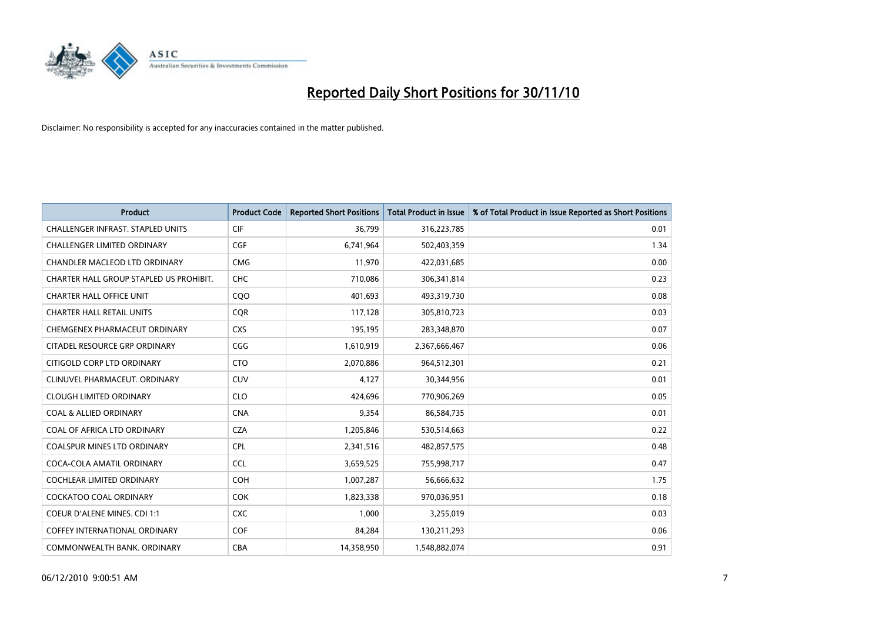

| <b>Product</b>                           | <b>Product Code</b> | <b>Reported Short Positions</b> | <b>Total Product in Issue</b> | % of Total Product in Issue Reported as Short Positions |
|------------------------------------------|---------------------|---------------------------------|-------------------------------|---------------------------------------------------------|
| <b>CHALLENGER INFRAST, STAPLED UNITS</b> | <b>CIF</b>          | 36,799                          | 316,223,785                   | 0.01                                                    |
| CHALLENGER LIMITED ORDINARY              | CGF                 | 6,741,964                       | 502,403,359                   | 1.34                                                    |
| <b>CHANDLER MACLEOD LTD ORDINARY</b>     | <b>CMG</b>          | 11,970                          | 422,031,685                   | 0.00                                                    |
| CHARTER HALL GROUP STAPLED US PROHIBIT.  | CHC                 | 710,086                         | 306,341,814                   | 0.23                                                    |
| <b>CHARTER HALL OFFICE UNIT</b>          | COO                 | 401,693                         | 493,319,730                   | 0.08                                                    |
| <b>CHARTER HALL RETAIL UNITS</b>         | <b>COR</b>          | 117,128                         | 305,810,723                   | 0.03                                                    |
| CHEMGENEX PHARMACEUT ORDINARY            | <b>CXS</b>          | 195,195                         | 283,348,870                   | 0.07                                                    |
| CITADEL RESOURCE GRP ORDINARY            | CGG                 | 1,610,919                       | 2,367,666,467                 | 0.06                                                    |
| CITIGOLD CORP LTD ORDINARY               | <b>CTO</b>          | 2,070,886                       | 964,512,301                   | 0.21                                                    |
| CLINUVEL PHARMACEUT, ORDINARY            | <b>CUV</b>          | 4,127                           | 30,344,956                    | 0.01                                                    |
| <b>CLOUGH LIMITED ORDINARY</b>           | <b>CLO</b>          | 424,696                         | 770,906,269                   | 0.05                                                    |
| <b>COAL &amp; ALLIED ORDINARY</b>        | <b>CNA</b>          | 9,354                           | 86,584,735                    | 0.01                                                    |
| COAL OF AFRICA LTD ORDINARY              | <b>CZA</b>          | 1,205,846                       | 530,514,663                   | 0.22                                                    |
| <b>COALSPUR MINES LTD ORDINARY</b>       | <b>CPL</b>          | 2,341,516                       | 482,857,575                   | 0.48                                                    |
| COCA-COLA AMATIL ORDINARY                | <b>CCL</b>          | 3,659,525                       | 755,998,717                   | 0.47                                                    |
| <b>COCHLEAR LIMITED ORDINARY</b>         | <b>COH</b>          | 1,007,287                       | 56,666,632                    | 1.75                                                    |
| COCKATOO COAL ORDINARY                   | <b>COK</b>          | 1,823,338                       | 970,036,951                   | 0.18                                                    |
| COEUR D'ALENE MINES. CDI 1:1             | <b>CXC</b>          | 1,000                           | 3,255,019                     | 0.03                                                    |
| <b>COFFEY INTERNATIONAL ORDINARY</b>     | COF                 | 84,284                          | 130,211,293                   | 0.06                                                    |
| COMMONWEALTH BANK, ORDINARY              | <b>CBA</b>          | 14,358,950                      | 1,548,882,074                 | 0.91                                                    |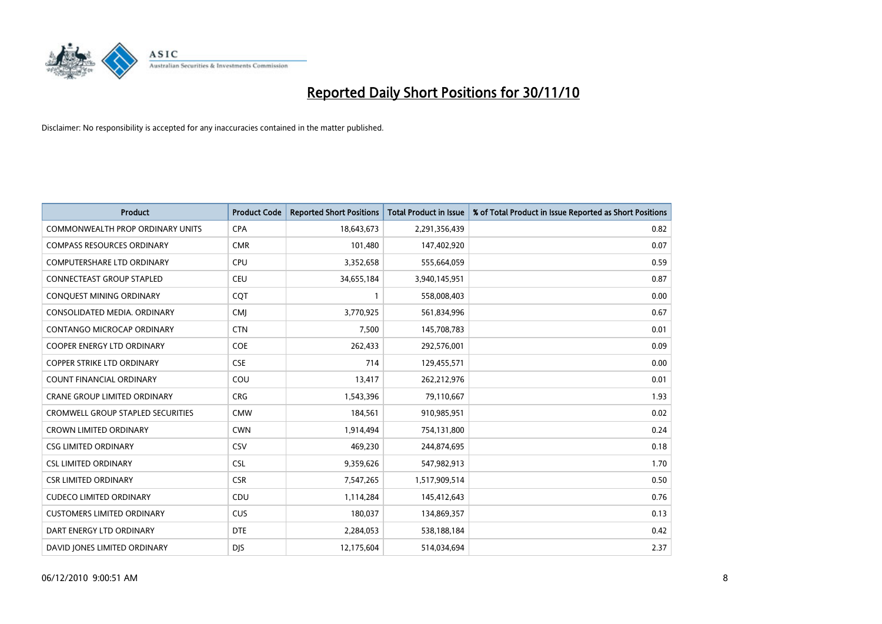

| <b>Product</b>                          | <b>Product Code</b> | <b>Reported Short Positions</b> | <b>Total Product in Issue</b> | % of Total Product in Issue Reported as Short Positions |
|-----------------------------------------|---------------------|---------------------------------|-------------------------------|---------------------------------------------------------|
| <b>COMMONWEALTH PROP ORDINARY UNITS</b> | <b>CPA</b>          | 18,643,673                      | 2,291,356,439                 | 0.82                                                    |
| <b>COMPASS RESOURCES ORDINARY</b>       | <b>CMR</b>          | 101,480                         | 147,402,920                   | 0.07                                                    |
| <b>COMPUTERSHARE LTD ORDINARY</b>       | CPU                 | 3,352,658                       | 555,664,059                   | 0.59                                                    |
| CONNECTEAST GROUP STAPLED               | <b>CEU</b>          | 34,655,184                      | 3,940,145,951                 | 0.87                                                    |
| CONQUEST MINING ORDINARY                | COT                 |                                 | 558,008,403                   | 0.00                                                    |
| CONSOLIDATED MEDIA, ORDINARY            | <b>CMI</b>          | 3,770,925                       | 561,834,996                   | 0.67                                                    |
| CONTANGO MICROCAP ORDINARY              | <b>CTN</b>          | 7,500                           | 145,708,783                   | 0.01                                                    |
| COOPER ENERGY LTD ORDINARY              | COE                 | 262,433                         | 292,576,001                   | 0.09                                                    |
| COPPER STRIKE LTD ORDINARY              | <b>CSE</b>          | 714                             | 129,455,571                   | 0.00                                                    |
| COUNT FINANCIAL ORDINARY                | COU                 | 13,417                          | 262,212,976                   | 0.01                                                    |
| <b>CRANE GROUP LIMITED ORDINARY</b>     | <b>CRG</b>          | 1,543,396                       | 79,110,667                    | 1.93                                                    |
| CROMWELL GROUP STAPLED SECURITIES       | <b>CMW</b>          | 184,561                         | 910,985,951                   | 0.02                                                    |
| <b>CROWN LIMITED ORDINARY</b>           | <b>CWN</b>          | 1,914,494                       | 754,131,800                   | 0.24                                                    |
| <b>CSG LIMITED ORDINARY</b>             | CSV                 | 469,230                         | 244,874,695                   | 0.18                                                    |
| <b>CSL LIMITED ORDINARY</b>             | <b>CSL</b>          | 9,359,626                       | 547,982,913                   | 1.70                                                    |
| <b>CSR LIMITED ORDINARY</b>             | <b>CSR</b>          | 7,547,265                       | 1,517,909,514                 | 0.50                                                    |
| <b>CUDECO LIMITED ORDINARY</b>          | CDU                 | 1,114,284                       | 145,412,643                   | 0.76                                                    |
| <b>CUSTOMERS LIMITED ORDINARY</b>       | <b>CUS</b>          | 180,037                         | 134,869,357                   | 0.13                                                    |
| DART ENERGY LTD ORDINARY                | <b>DTE</b>          | 2,284,053                       | 538,188,184                   | 0.42                                                    |
| DAVID JONES LIMITED ORDINARY            | <b>DJS</b>          | 12,175,604                      | 514,034,694                   | 2.37                                                    |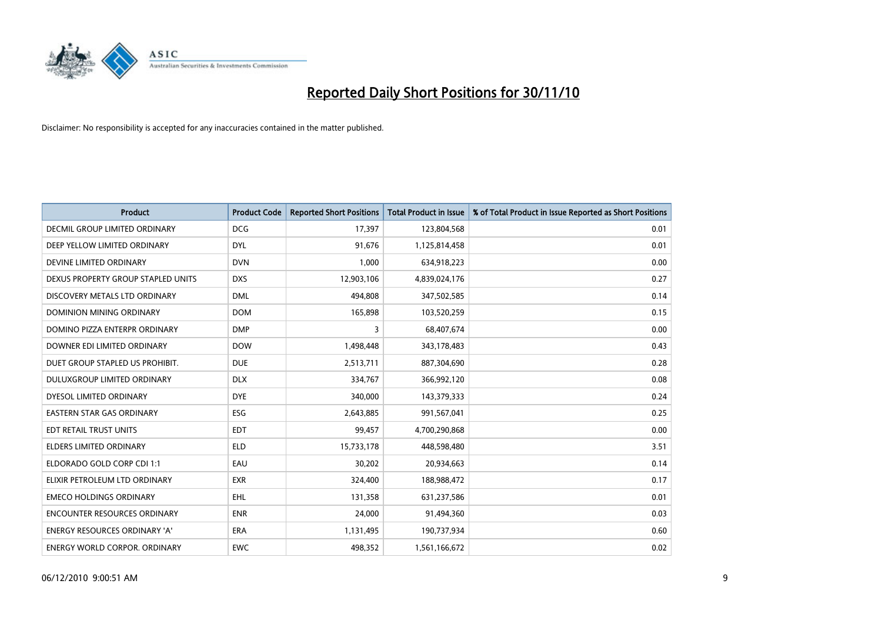

| <b>Product</b>                       | <b>Product Code</b> | <b>Reported Short Positions</b> | Total Product in Issue | % of Total Product in Issue Reported as Short Positions |
|--------------------------------------|---------------------|---------------------------------|------------------------|---------------------------------------------------------|
| DECMIL GROUP LIMITED ORDINARY        | <b>DCG</b>          | 17,397                          | 123,804,568            | 0.01                                                    |
| DEEP YELLOW LIMITED ORDINARY         | <b>DYL</b>          | 91,676                          | 1,125,814,458          | 0.01                                                    |
| DEVINE LIMITED ORDINARY              | <b>DVN</b>          | 1,000                           | 634,918,223            | 0.00                                                    |
| DEXUS PROPERTY GROUP STAPLED UNITS   | <b>DXS</b>          | 12,903,106                      | 4,839,024,176          | 0.27                                                    |
| DISCOVERY METALS LTD ORDINARY        | <b>DML</b>          | 494,808                         | 347,502,585            | 0.14                                                    |
| DOMINION MINING ORDINARY             | <b>DOM</b>          | 165,898                         | 103,520,259            | 0.15                                                    |
| DOMINO PIZZA ENTERPR ORDINARY        | <b>DMP</b>          | 3                               | 68,407,674             | 0.00                                                    |
| DOWNER EDI LIMITED ORDINARY          | <b>DOW</b>          | 1,498,448                       | 343,178,483            | 0.43                                                    |
| DUET GROUP STAPLED US PROHIBIT.      | <b>DUE</b>          | 2,513,711                       | 887,304,690            | 0.28                                                    |
| DULUXGROUP LIMITED ORDINARY          | <b>DLX</b>          | 334,767                         | 366,992,120            | 0.08                                                    |
| DYESOL LIMITED ORDINARY              | <b>DYE</b>          | 340,000                         | 143,379,333            | 0.24                                                    |
| <b>EASTERN STAR GAS ORDINARY</b>     | ESG                 | 2,643,885                       | 991,567,041            | 0.25                                                    |
| EDT RETAIL TRUST UNITS               | <b>EDT</b>          | 99,457                          | 4,700,290,868          | 0.00                                                    |
| <b>ELDERS LIMITED ORDINARY</b>       | <b>ELD</b>          | 15,733,178                      | 448,598,480            | 3.51                                                    |
| ELDORADO GOLD CORP CDI 1:1           | EAU                 | 30,202                          | 20,934,663             | 0.14                                                    |
| ELIXIR PETROLEUM LTD ORDINARY        | <b>EXR</b>          | 324,400                         | 188,988,472            | 0.17                                                    |
| <b>EMECO HOLDINGS ORDINARY</b>       | EHL                 | 131,358                         | 631,237,586            | 0.01                                                    |
| <b>ENCOUNTER RESOURCES ORDINARY</b>  | <b>ENR</b>          | 24,000                          | 91,494,360             | 0.03                                                    |
| ENERGY RESOURCES ORDINARY 'A'        | <b>ERA</b>          | 1,131,495                       | 190,737,934            | 0.60                                                    |
| <b>ENERGY WORLD CORPOR. ORDINARY</b> | <b>EWC</b>          | 498,352                         | 1,561,166,672          | 0.02                                                    |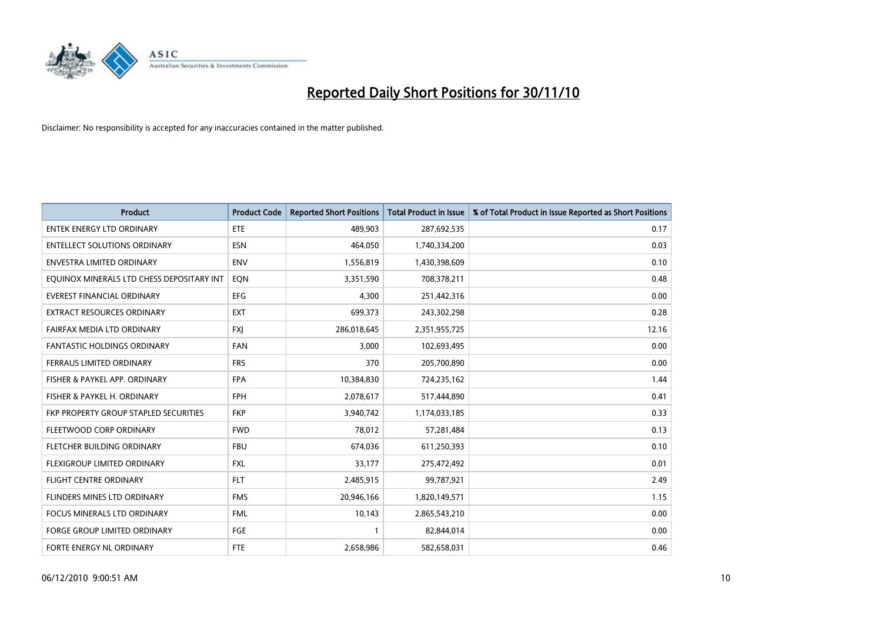

| <b>Product</b>                            | <b>Product Code</b> | <b>Reported Short Positions</b> | <b>Total Product in Issue</b> | % of Total Product in Issue Reported as Short Positions |
|-------------------------------------------|---------------------|---------------------------------|-------------------------------|---------------------------------------------------------|
| <b>ENTEK ENERGY LTD ORDINARY</b>          | ETE                 | 489,903                         | 287,692,535                   | 0.17                                                    |
| <b>ENTELLECT SOLUTIONS ORDINARY</b>       | <b>ESN</b>          | 464,050                         | 1,740,334,200                 | 0.03                                                    |
| <b>ENVESTRA LIMITED ORDINARY</b>          | <b>ENV</b>          | 1,556,819                       | 1,430,398,609                 | 0.10                                                    |
| EQUINOX MINERALS LTD CHESS DEPOSITARY INT | EQN                 | 3,351,590                       | 708,378,211                   | 0.48                                                    |
| <b>EVEREST FINANCIAL ORDINARY</b>         | <b>EFG</b>          | 4,300                           | 251,442,316                   | 0.00                                                    |
| <b>EXTRACT RESOURCES ORDINARY</b>         | <b>EXT</b>          | 699,373                         | 243,302,298                   | 0.28                                                    |
| FAIRFAX MEDIA LTD ORDINARY                | <b>FXI</b>          | 286,018,645                     | 2,351,955,725                 | 12.16                                                   |
| FANTASTIC HOLDINGS ORDINARY               | <b>FAN</b>          | 3,000                           | 102,693,495                   | 0.00                                                    |
| FERRAUS LIMITED ORDINARY                  | <b>FRS</b>          | 370                             | 205,700,890                   | 0.00                                                    |
| FISHER & PAYKEL APP. ORDINARY             | <b>FPA</b>          | 10,384,830                      | 724,235,162                   | 1.44                                                    |
| FISHER & PAYKEL H. ORDINARY               | <b>FPH</b>          | 2,078,617                       | 517,444,890                   | 0.41                                                    |
| FKP PROPERTY GROUP STAPLED SECURITIES     | <b>FKP</b>          | 3,940,742                       | 1,174,033,185                 | 0.33                                                    |
| FLEETWOOD CORP ORDINARY                   | <b>FWD</b>          | 78,012                          | 57,281,484                    | 0.13                                                    |
| FLETCHER BUILDING ORDINARY                | <b>FBU</b>          | 674,036                         | 611,250,393                   | 0.10                                                    |
| FLEXIGROUP LIMITED ORDINARY               | <b>FXL</b>          | 33,177                          | 275,472,492                   | 0.01                                                    |
| <b>FLIGHT CENTRE ORDINARY</b>             | <b>FLT</b>          | 2,485,915                       | 99,787,921                    | 2.49                                                    |
| FLINDERS MINES LTD ORDINARY               | <b>FMS</b>          | 20,946,166                      | 1,820,149,571                 | 1.15                                                    |
| FOCUS MINERALS LTD ORDINARY               | <b>FML</b>          | 10,143                          | 2,865,543,210                 | 0.00                                                    |
| <b>FORGE GROUP LIMITED ORDINARY</b>       | <b>FGE</b>          |                                 | 82,844,014                    | 0.00                                                    |
| FORTE ENERGY NL ORDINARY                  | <b>FTE</b>          | 2,658,986                       | 582,658,031                   | 0.46                                                    |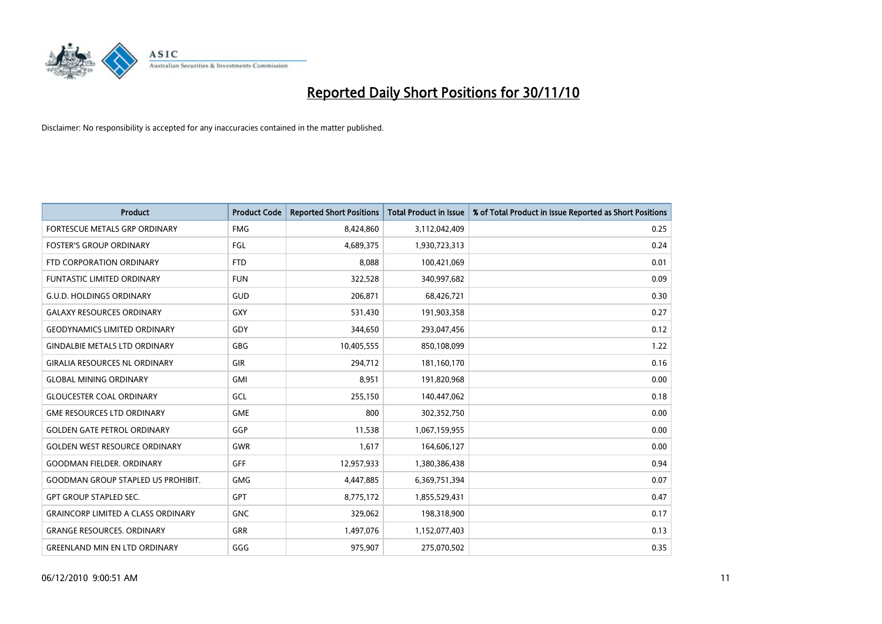

| <b>Product</b>                            | <b>Product Code</b> | <b>Reported Short Positions</b> | <b>Total Product in Issue</b> | % of Total Product in Issue Reported as Short Positions |
|-------------------------------------------|---------------------|---------------------------------|-------------------------------|---------------------------------------------------------|
| FORTESCUE METALS GRP ORDINARY             | <b>FMG</b>          | 8,424,860                       | 3,112,042,409                 | 0.25                                                    |
| <b>FOSTER'S GROUP ORDINARY</b>            | FGL                 | 4,689,375                       | 1,930,723,313                 | 0.24                                                    |
| FTD CORPORATION ORDINARY                  | <b>FTD</b>          | 8,088                           | 100,421,069                   | 0.01                                                    |
| <b>FUNTASTIC LIMITED ORDINARY</b>         | <b>FUN</b>          | 322,528                         | 340,997,682                   | 0.09                                                    |
| <b>G.U.D. HOLDINGS ORDINARY</b>           | GUD                 | 206,871                         | 68,426,721                    | 0.30                                                    |
| <b>GALAXY RESOURCES ORDINARY</b>          | <b>GXY</b>          | 531,430                         | 191,903,358                   | 0.27                                                    |
| <b>GEODYNAMICS LIMITED ORDINARY</b>       | GDY                 | 344,650                         | 293,047,456                   | 0.12                                                    |
| <b>GINDALBIE METALS LTD ORDINARY</b>      | <b>GBG</b>          | 10,405,555                      | 850,108,099                   | 1.22                                                    |
| <b>GIRALIA RESOURCES NL ORDINARY</b>      | GIR                 | 294,712                         | 181,160,170                   | 0.16                                                    |
| <b>GLOBAL MINING ORDINARY</b>             | GMI                 | 8,951                           | 191,820,968                   | 0.00                                                    |
| <b>GLOUCESTER COAL ORDINARY</b>           | GCL                 | 255,150                         | 140,447,062                   | 0.18                                                    |
| <b>GME RESOURCES LTD ORDINARY</b>         | <b>GME</b>          | 800                             | 302,352,750                   | 0.00                                                    |
| <b>GOLDEN GATE PETROL ORDINARY</b>        | GGP                 | 11,538                          | 1,067,159,955                 | 0.00                                                    |
| <b>GOLDEN WEST RESOURCE ORDINARY</b>      | <b>GWR</b>          | 1,617                           | 164,606,127                   | 0.00                                                    |
| <b>GOODMAN FIELDER, ORDINARY</b>          | <b>GFF</b>          | 12,957,933                      | 1,380,386,438                 | 0.94                                                    |
| <b>GOODMAN GROUP STAPLED US PROHIBIT.</b> | <b>GMG</b>          | 4,447,885                       | 6,369,751,394                 | 0.07                                                    |
| <b>GPT GROUP STAPLED SEC.</b>             | <b>GPT</b>          | 8,775,172                       | 1,855,529,431                 | 0.47                                                    |
| <b>GRAINCORP LIMITED A CLASS ORDINARY</b> | <b>GNC</b>          | 329,062                         | 198,318,900                   | 0.17                                                    |
| <b>GRANGE RESOURCES, ORDINARY</b>         | GRR                 | 1,497,076                       | 1,152,077,403                 | 0.13                                                    |
| <b>GREENLAND MIN EN LTD ORDINARY</b>      | GGG                 | 975,907                         | 275,070,502                   | 0.35                                                    |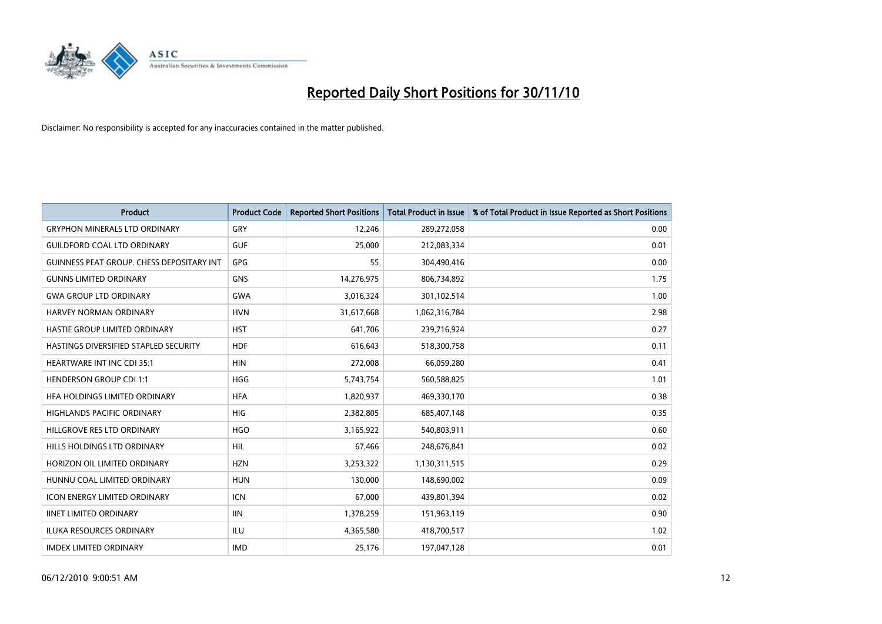

| <b>Product</b>                                   | <b>Product Code</b> | <b>Reported Short Positions</b> | Total Product in Issue | % of Total Product in Issue Reported as Short Positions |
|--------------------------------------------------|---------------------|---------------------------------|------------------------|---------------------------------------------------------|
| <b>GRYPHON MINERALS LTD ORDINARY</b>             | GRY                 | 12,246                          | 289,272,058            | 0.00                                                    |
| <b>GUILDFORD COAL LTD ORDINARY</b>               | <b>GUF</b>          | 25,000                          | 212,083,334            | 0.01                                                    |
| <b>GUINNESS PEAT GROUP. CHESS DEPOSITARY INT</b> | GPG                 | 55                              | 304,490,416            | 0.00                                                    |
| <b>GUNNS LIMITED ORDINARY</b>                    | <b>GNS</b>          | 14,276,975                      | 806,734,892            | 1.75                                                    |
| <b>GWA GROUP LTD ORDINARY</b>                    | <b>GWA</b>          | 3,016,324                       | 301,102,514            | 1.00                                                    |
| HARVEY NORMAN ORDINARY                           | <b>HVN</b>          | 31,617,668                      | 1,062,316,784          | 2.98                                                    |
| <b>HASTIE GROUP LIMITED ORDINARY</b>             | <b>HST</b>          | 641,706                         | 239,716,924            | 0.27                                                    |
| HASTINGS DIVERSIFIED STAPLED SECURITY            | <b>HDF</b>          | 616,643                         | 518,300,758            | 0.11                                                    |
| <b>HEARTWARE INT INC CDI 35:1</b>                | <b>HIN</b>          | 272,008                         | 66,059,280             | 0.41                                                    |
| <b>HENDERSON GROUP CDI 1:1</b>                   | <b>HGG</b>          | 5,743,754                       | 560,588,825            | 1.01                                                    |
| HFA HOLDINGS LIMITED ORDINARY                    | <b>HFA</b>          | 1,820,937                       | 469,330,170            | 0.38                                                    |
| <b>HIGHLANDS PACIFIC ORDINARY</b>                | <b>HIG</b>          | 2,382,805                       | 685,407,148            | 0.35                                                    |
| HILLGROVE RES LTD ORDINARY                       | <b>HGO</b>          | 3,165,922                       | 540,803,911            | 0.60                                                    |
| HILLS HOLDINGS LTD ORDINARY                      | HIL                 | 67,466                          | 248,676,841            | 0.02                                                    |
| HORIZON OIL LIMITED ORDINARY                     | <b>HZN</b>          | 3,253,322                       | 1,130,311,515          | 0.29                                                    |
| HUNNU COAL LIMITED ORDINARY                      | <b>HUN</b>          | 130,000                         | 148,690,002            | 0.09                                                    |
| ICON ENERGY LIMITED ORDINARY                     | <b>ICN</b>          | 67,000                          | 439,801,394            | 0.02                                                    |
| <b>IINET LIMITED ORDINARY</b>                    | <b>IIN</b>          | 1,378,259                       | 151,963,119            | 0.90                                                    |
| ILUKA RESOURCES ORDINARY                         | ILU                 | 4,365,580                       | 418,700,517            | 1.02                                                    |
| <b>IMDEX LIMITED ORDINARY</b>                    | <b>IMD</b>          | 25,176                          | 197,047,128            | 0.01                                                    |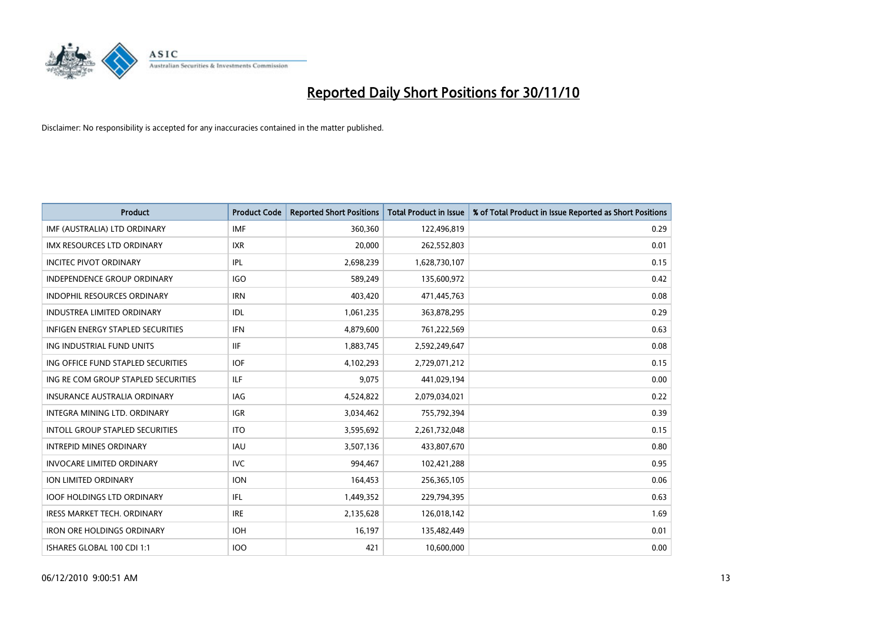

| <b>Product</b>                           | <b>Product Code</b> | <b>Reported Short Positions</b> | Total Product in Issue | % of Total Product in Issue Reported as Short Positions |
|------------------------------------------|---------------------|---------------------------------|------------------------|---------------------------------------------------------|
| IMF (AUSTRALIA) LTD ORDINARY             | <b>IMF</b>          | 360,360                         | 122,496,819            | 0.29                                                    |
| IMX RESOURCES LTD ORDINARY               | <b>IXR</b>          | 20,000                          | 262,552,803            | 0.01                                                    |
| <b>INCITEC PIVOT ORDINARY</b>            | IPL                 | 2,698,239                       | 1,628,730,107          | 0.15                                                    |
| INDEPENDENCE GROUP ORDINARY              | IGO                 | 589,249                         | 135,600,972            | 0.42                                                    |
| <b>INDOPHIL RESOURCES ORDINARY</b>       | <b>IRN</b>          | 403,420                         | 471,445,763            | 0.08                                                    |
| <b>INDUSTREA LIMITED ORDINARY</b>        | IDL                 | 1,061,235                       | 363,878,295            | 0.29                                                    |
| <b>INFIGEN ENERGY STAPLED SECURITIES</b> | <b>IFN</b>          | 4,879,600                       | 761,222,569            | 0.63                                                    |
| ING INDUSTRIAL FUND UNITS                | <b>IIF</b>          | 1,883,745                       | 2,592,249,647          | 0.08                                                    |
| ING OFFICE FUND STAPLED SECURITIES       | <b>IOF</b>          | 4,102,293                       | 2,729,071,212          | 0.15                                                    |
| ING RE COM GROUP STAPLED SECURITIES      | <b>ILF</b>          | 9,075                           | 441,029,194            | 0.00                                                    |
| INSURANCE AUSTRALIA ORDINARY             | <b>IAG</b>          | 4,524,822                       | 2,079,034,021          | 0.22                                                    |
| INTEGRA MINING LTD, ORDINARY             | <b>IGR</b>          | 3,034,462                       | 755,792,394            | 0.39                                                    |
| <b>INTOLL GROUP STAPLED SECURITIES</b>   | <b>ITO</b>          | 3,595,692                       | 2,261,732,048          | 0.15                                                    |
| <b>INTREPID MINES ORDINARY</b>           | <b>IAU</b>          | 3,507,136                       | 433,807,670            | 0.80                                                    |
| <b>INVOCARE LIMITED ORDINARY</b>         | <b>IVC</b>          | 994,467                         | 102,421,288            | 0.95                                                    |
| ION LIMITED ORDINARY                     | <b>ION</b>          | 164,453                         | 256,365,105            | 0.06                                                    |
| <b>IOOF HOLDINGS LTD ORDINARY</b>        | <b>IFL</b>          | 1,449,352                       | 229,794,395            | 0.63                                                    |
| IRESS MARKET TECH. ORDINARY              | <b>IRE</b>          | 2,135,628                       | 126,018,142            | 1.69                                                    |
| <b>IRON ORE HOLDINGS ORDINARY</b>        | <b>IOH</b>          | 16,197                          | 135,482,449            | 0.01                                                    |
| ISHARES GLOBAL 100 CDI 1:1               | 100                 | 421                             | 10,600,000             | 0.00                                                    |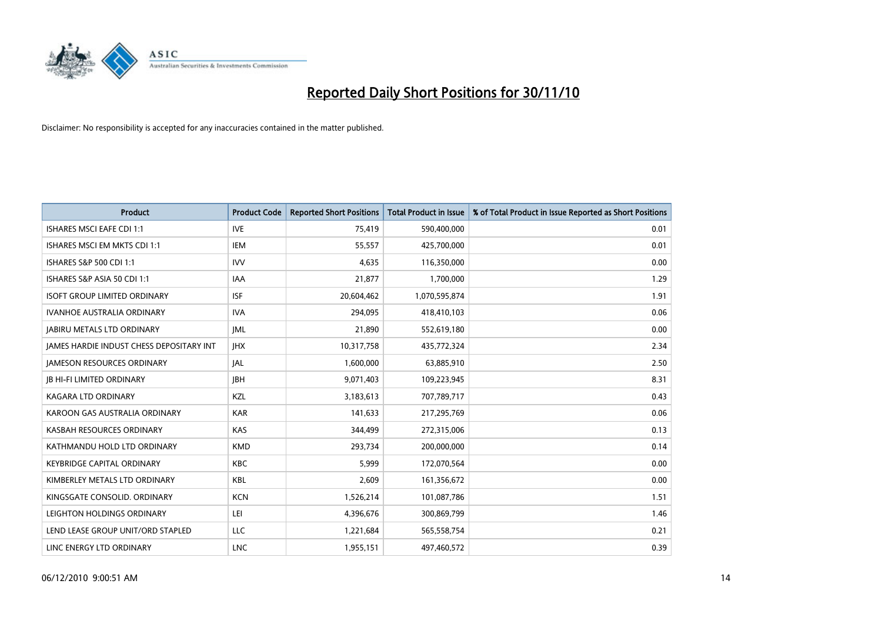

| <b>Product</b>                                  | <b>Product Code</b> | <b>Reported Short Positions</b> | Total Product in Issue | % of Total Product in Issue Reported as Short Positions |
|-------------------------------------------------|---------------------|---------------------------------|------------------------|---------------------------------------------------------|
| <b>ISHARES MSCI EAFE CDI 1:1</b>                | <b>IVE</b>          | 75,419                          | 590,400,000            | 0.01                                                    |
| ISHARES MSCI EM MKTS CDI 1:1                    | <b>IEM</b>          | 55,557                          | 425,700,000            | 0.01                                                    |
| ISHARES S&P 500 CDI 1:1                         | <b>IVV</b>          | 4,635                           | 116,350,000            | 0.00                                                    |
| ISHARES S&P ASIA 50 CDI 1:1                     | <b>IAA</b>          | 21,877                          | 1,700,000              | 1.29                                                    |
| <b>ISOFT GROUP LIMITED ORDINARY</b>             | <b>ISF</b>          | 20,604,462                      | 1,070,595,874          | 1.91                                                    |
| <b>IVANHOE AUSTRALIA ORDINARY</b>               | <b>IVA</b>          | 294,095                         | 418,410,103            | 0.06                                                    |
| <b>JABIRU METALS LTD ORDINARY</b>               | <b>JML</b>          | 21,890                          | 552,619,180            | 0.00                                                    |
| <b>JAMES HARDIE INDUST CHESS DEPOSITARY INT</b> | <b>IHX</b>          | 10,317,758                      | 435,772,324            | 2.34                                                    |
| <b>JAMESON RESOURCES ORDINARY</b>               | <b>JAL</b>          | 1,600,000                       | 63,885,910             | 2.50                                                    |
| <b>JB HI-FI LIMITED ORDINARY</b>                | <b>JBH</b>          | 9,071,403                       | 109,223,945            | 8.31                                                    |
| KAGARA LTD ORDINARY                             | KZL                 | 3,183,613                       | 707,789,717            | 0.43                                                    |
| KAROON GAS AUSTRALIA ORDINARY                   | <b>KAR</b>          | 141,633                         | 217,295,769            | 0.06                                                    |
| KASBAH RESOURCES ORDINARY                       | <b>KAS</b>          | 344,499                         | 272,315,006            | 0.13                                                    |
| KATHMANDU HOLD LTD ORDINARY                     | <b>KMD</b>          | 293,734                         | 200,000,000            | 0.14                                                    |
| KEYBRIDGE CAPITAL ORDINARY                      | <b>KBC</b>          | 5,999                           | 172,070,564            | 0.00                                                    |
| KIMBERLEY METALS LTD ORDINARY                   | <b>KBL</b>          | 2,609                           | 161,356,672            | 0.00                                                    |
| KINGSGATE CONSOLID. ORDINARY                    | <b>KCN</b>          | 1,526,214                       | 101,087,786            | 1.51                                                    |
| LEIGHTON HOLDINGS ORDINARY                      | LEI                 | 4,396,676                       | 300,869,799            | 1.46                                                    |
| LEND LEASE GROUP UNIT/ORD STAPLED               | LLC                 | 1,221,684                       | 565,558,754            | 0.21                                                    |
| LINC ENERGY LTD ORDINARY                        | <b>LNC</b>          | 1,955,151                       | 497,460,572            | 0.39                                                    |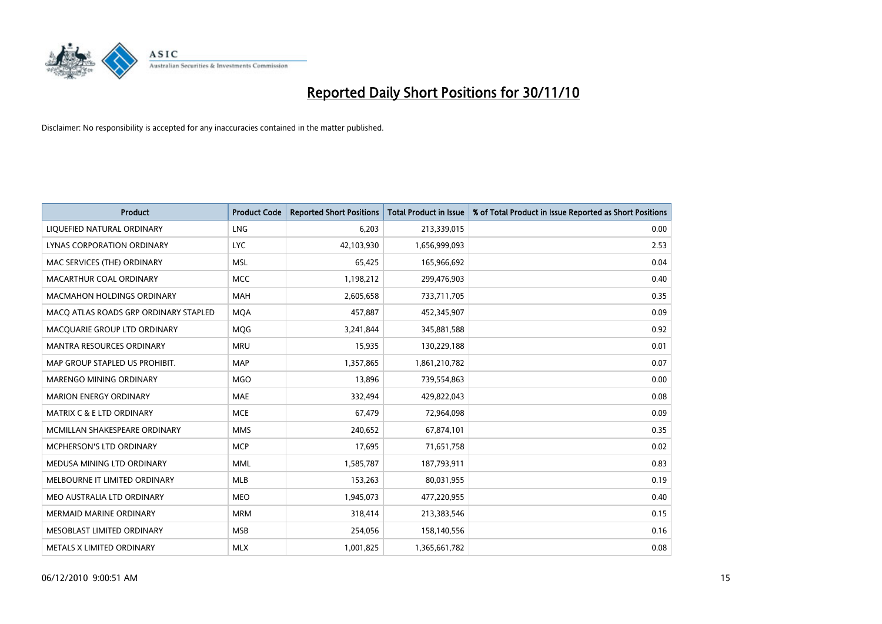

| <b>Product</b>                        | <b>Product Code</b> | <b>Reported Short Positions</b> | <b>Total Product in Issue</b> | % of Total Product in Issue Reported as Short Positions |
|---------------------------------------|---------------------|---------------------------------|-------------------------------|---------------------------------------------------------|
| LIQUEFIED NATURAL ORDINARY            | LNG                 | 6,203                           | 213,339,015                   | 0.00                                                    |
| LYNAS CORPORATION ORDINARY            | <b>LYC</b>          | 42,103,930                      | 1,656,999,093                 | 2.53                                                    |
| MAC SERVICES (THE) ORDINARY           | <b>MSL</b>          | 65,425                          | 165,966,692                   | 0.04                                                    |
| MACARTHUR COAL ORDINARY               | <b>MCC</b>          | 1,198,212                       | 299,476,903                   | 0.40                                                    |
| <b>MACMAHON HOLDINGS ORDINARY</b>     | <b>MAH</b>          | 2,605,658                       | 733,711,705                   | 0.35                                                    |
| MACQ ATLAS ROADS GRP ORDINARY STAPLED | <b>MOA</b>          | 457,887                         | 452,345,907                   | 0.09                                                    |
| MACQUARIE GROUP LTD ORDINARY          | <b>MOG</b>          | 3,241,844                       | 345,881,588                   | 0.92                                                    |
| MANTRA RESOURCES ORDINARY             | <b>MRU</b>          | 15,935                          | 130,229,188                   | 0.01                                                    |
| MAP GROUP STAPLED US PROHIBIT.        | <b>MAP</b>          | 1,357,865                       | 1,861,210,782                 | 0.07                                                    |
| MARENGO MINING ORDINARY               | <b>MGO</b>          | 13,896                          | 739,554,863                   | 0.00                                                    |
| <b>MARION ENERGY ORDINARY</b>         | <b>MAE</b>          | 332,494                         | 429,822,043                   | 0.08                                                    |
| <b>MATRIX C &amp; E LTD ORDINARY</b>  | <b>MCE</b>          | 67,479                          | 72,964,098                    | 0.09                                                    |
| MCMILLAN SHAKESPEARE ORDINARY         | <b>MMS</b>          | 240,652                         | 67,874,101                    | 0.35                                                    |
| MCPHERSON'S LTD ORDINARY              | <b>MCP</b>          | 17,695                          | 71,651,758                    | 0.02                                                    |
| MEDUSA MINING LTD ORDINARY            | <b>MML</b>          | 1,585,787                       | 187,793,911                   | 0.83                                                    |
| MELBOURNE IT LIMITED ORDINARY         | <b>MLB</b>          | 153,263                         | 80,031,955                    | 0.19                                                    |
| MEO AUSTRALIA LTD ORDINARY            | <b>MEO</b>          | 1,945,073                       | 477,220,955                   | 0.40                                                    |
| <b>MERMAID MARINE ORDINARY</b>        | <b>MRM</b>          | 318,414                         | 213,383,546                   | 0.15                                                    |
| MESOBLAST LIMITED ORDINARY            | <b>MSB</b>          | 254,056                         | 158,140,556                   | 0.16                                                    |
| METALS X LIMITED ORDINARY             | <b>MLX</b>          | 1,001,825                       | 1,365,661,782                 | 0.08                                                    |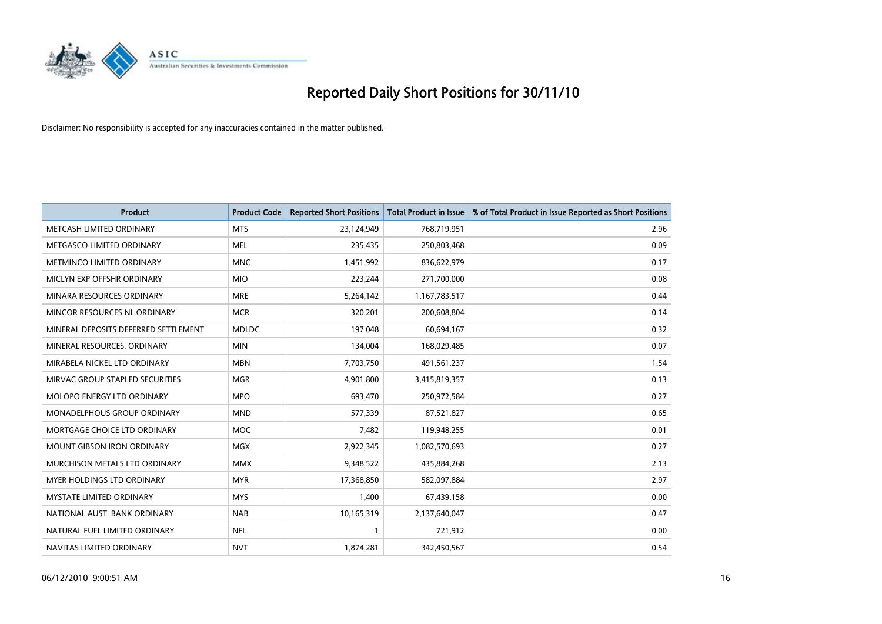

| <b>Product</b>                       | <b>Product Code</b> | <b>Reported Short Positions</b> | <b>Total Product in Issue</b> | % of Total Product in Issue Reported as Short Positions |
|--------------------------------------|---------------------|---------------------------------|-------------------------------|---------------------------------------------------------|
| METCASH LIMITED ORDINARY             | <b>MTS</b>          | 23,124,949                      | 768,719,951                   | 2.96                                                    |
| METGASCO LIMITED ORDINARY            | <b>MEL</b>          | 235,435                         | 250,803,468                   | 0.09                                                    |
| METMINCO LIMITED ORDINARY            | <b>MNC</b>          | 1,451,992                       | 836,622,979                   | 0.17                                                    |
| MICLYN EXP OFFSHR ORDINARY           | <b>MIO</b>          | 223,244                         | 271,700,000                   | 0.08                                                    |
| MINARA RESOURCES ORDINARY            | <b>MRE</b>          | 5,264,142                       | 1,167,783,517                 | 0.44                                                    |
| MINCOR RESOURCES NL ORDINARY         | <b>MCR</b>          | 320,201                         | 200,608,804                   | 0.14                                                    |
| MINERAL DEPOSITS DEFERRED SETTLEMENT | <b>MDLDC</b>        | 197,048                         | 60,694,167                    | 0.32                                                    |
| MINERAL RESOURCES. ORDINARY          | <b>MIN</b>          | 134,004                         | 168,029,485                   | 0.07                                                    |
| MIRABELA NICKEL LTD ORDINARY         | <b>MBN</b>          | 7,703,750                       | 491,561,237                   | 1.54                                                    |
| MIRVAC GROUP STAPLED SECURITIES      | <b>MGR</b>          | 4,901,800                       | 3,415,819,357                 | 0.13                                                    |
| MOLOPO ENERGY LTD ORDINARY           | <b>MPO</b>          | 693,470                         | 250,972,584                   | 0.27                                                    |
| <b>MONADELPHOUS GROUP ORDINARY</b>   | <b>MND</b>          | 577,339                         | 87,521,827                    | 0.65                                                    |
| MORTGAGE CHOICE LTD ORDINARY         | <b>MOC</b>          | 7,482                           | 119,948,255                   | 0.01                                                    |
| MOUNT GIBSON IRON ORDINARY           | <b>MGX</b>          | 2,922,345                       | 1,082,570,693                 | 0.27                                                    |
| MURCHISON METALS LTD ORDINARY        | <b>MMX</b>          | 9,348,522                       | 435,884,268                   | 2.13                                                    |
| MYER HOLDINGS LTD ORDINARY           | <b>MYR</b>          | 17,368,850                      | 582,097,884                   | 2.97                                                    |
| MYSTATE LIMITED ORDINARY             | <b>MYS</b>          | 1,400                           | 67,439,158                    | 0.00                                                    |
| NATIONAL AUST. BANK ORDINARY         | <b>NAB</b>          | 10,165,319                      | 2,137,640,047                 | 0.47                                                    |
| NATURAL FUEL LIMITED ORDINARY        | <b>NFL</b>          |                                 | 721,912                       | 0.00                                                    |
| NAVITAS LIMITED ORDINARY             | <b>NVT</b>          | 1,874,281                       | 342,450,567                   | 0.54                                                    |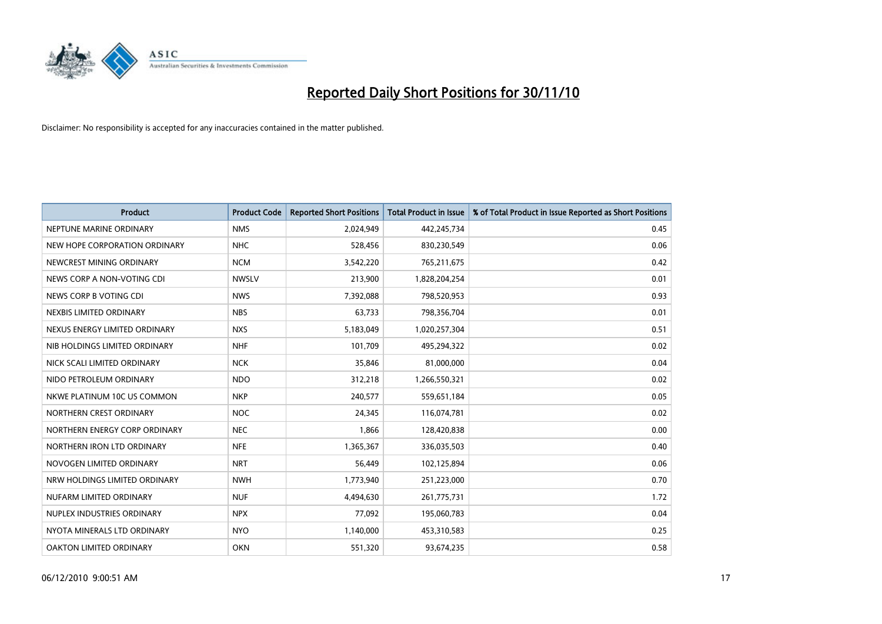

| <b>Product</b>                | <b>Product Code</b> | <b>Reported Short Positions</b> | <b>Total Product in Issue</b> | % of Total Product in Issue Reported as Short Positions |
|-------------------------------|---------------------|---------------------------------|-------------------------------|---------------------------------------------------------|
| NEPTUNE MARINE ORDINARY       | <b>NMS</b>          | 2,024,949                       | 442,245,734                   | 0.45                                                    |
| NEW HOPE CORPORATION ORDINARY | <b>NHC</b>          | 528,456                         | 830,230,549                   | 0.06                                                    |
| NEWCREST MINING ORDINARY      | <b>NCM</b>          | 3,542,220                       | 765,211,675                   | 0.42                                                    |
| NEWS CORP A NON-VOTING CDI    | <b>NWSLV</b>        | 213,900                         | 1,828,204,254                 | 0.01                                                    |
| NEWS CORP B VOTING CDI        | <b>NWS</b>          | 7,392,088                       | 798,520,953                   | 0.93                                                    |
| NEXBIS LIMITED ORDINARY       | <b>NBS</b>          | 63,733                          | 798,356,704                   | 0.01                                                    |
| NEXUS ENERGY LIMITED ORDINARY | <b>NXS</b>          | 5,183,049                       | 1,020,257,304                 | 0.51                                                    |
| NIB HOLDINGS LIMITED ORDINARY | <b>NHF</b>          | 101,709                         | 495,294,322                   | 0.02                                                    |
| NICK SCALI LIMITED ORDINARY   | <b>NCK</b>          | 35,846                          | 81,000,000                    | 0.04                                                    |
| NIDO PETROLEUM ORDINARY       | <b>NDO</b>          | 312,218                         | 1,266,550,321                 | 0.02                                                    |
| NKWE PLATINUM 10C US COMMON   | <b>NKP</b>          | 240,577                         | 559,651,184                   | 0.05                                                    |
| NORTHERN CREST ORDINARY       | <b>NOC</b>          | 24,345                          | 116,074,781                   | 0.02                                                    |
| NORTHERN ENERGY CORP ORDINARY | <b>NEC</b>          | 1,866                           | 128,420,838                   | 0.00                                                    |
| NORTHERN IRON LTD ORDINARY    | <b>NFE</b>          | 1,365,367                       | 336,035,503                   | 0.40                                                    |
| NOVOGEN LIMITED ORDINARY      | <b>NRT</b>          | 56.449                          | 102,125,894                   | 0.06                                                    |
| NRW HOLDINGS LIMITED ORDINARY | <b>NWH</b>          | 1,773,940                       | 251,223,000                   | 0.70                                                    |
| NUFARM LIMITED ORDINARY       | <b>NUF</b>          | 4,494,630                       | 261,775,731                   | 1.72                                                    |
| NUPLEX INDUSTRIES ORDINARY    | <b>NPX</b>          | 77,092                          | 195,060,783                   | 0.04                                                    |
| NYOTA MINERALS LTD ORDINARY   | <b>NYO</b>          | 1,140,000                       | 453,310,583                   | 0.25                                                    |
| OAKTON LIMITED ORDINARY       | <b>OKN</b>          | 551,320                         | 93,674,235                    | 0.58                                                    |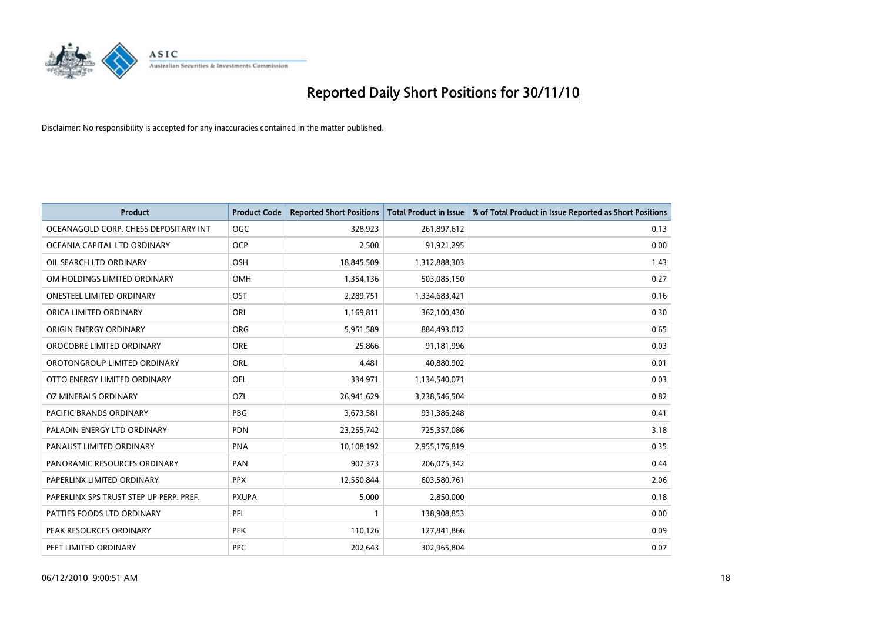

| <b>Product</b>                          | <b>Product Code</b> | <b>Reported Short Positions</b> | <b>Total Product in Issue</b> | % of Total Product in Issue Reported as Short Positions |
|-----------------------------------------|---------------------|---------------------------------|-------------------------------|---------------------------------------------------------|
| OCEANAGOLD CORP. CHESS DEPOSITARY INT   | <b>OGC</b>          | 328,923                         | 261,897,612                   | 0.13                                                    |
| OCEANIA CAPITAL LTD ORDINARY            | <b>OCP</b>          | 2,500                           | 91,921,295                    | 0.00                                                    |
| OIL SEARCH LTD ORDINARY                 | OSH                 | 18,845,509                      | 1,312,888,303                 | 1.43                                                    |
| OM HOLDINGS LIMITED ORDINARY            | <b>OMH</b>          | 1,354,136                       | 503,085,150                   | 0.27                                                    |
| <b>ONESTEEL LIMITED ORDINARY</b>        | OST                 | 2,289,751                       | 1,334,683,421                 | 0.16                                                    |
| ORICA LIMITED ORDINARY                  | ORI                 | 1,169,811                       | 362,100,430                   | 0.30                                                    |
| ORIGIN ENERGY ORDINARY                  | <b>ORG</b>          | 5,951,589                       | 884,493,012                   | 0.65                                                    |
| OROCOBRE LIMITED ORDINARY               | <b>ORE</b>          | 25,866                          | 91,181,996                    | 0.03                                                    |
| OROTONGROUP LIMITED ORDINARY            | ORL                 | 4,481                           | 40,880,902                    | 0.01                                                    |
| OTTO ENERGY LIMITED ORDINARY            | <b>OEL</b>          | 334,971                         | 1,134,540,071                 | 0.03                                                    |
| OZ MINERALS ORDINARY                    | OZL                 | 26,941,629                      | 3,238,546,504                 | 0.82                                                    |
| <b>PACIFIC BRANDS ORDINARY</b>          | <b>PBG</b>          | 3,673,581                       | 931,386,248                   | 0.41                                                    |
| PALADIN ENERGY LTD ORDINARY             | <b>PDN</b>          | 23,255,742                      | 725,357,086                   | 3.18                                                    |
| PANAUST LIMITED ORDINARY                | <b>PNA</b>          | 10,108,192                      | 2,955,176,819                 | 0.35                                                    |
| PANORAMIC RESOURCES ORDINARY            | PAN                 | 907,373                         | 206,075,342                   | 0.44                                                    |
| PAPERLINX LIMITED ORDINARY              | <b>PPX</b>          | 12,550,844                      | 603,580,761                   | 2.06                                                    |
| PAPERLINX SPS TRUST STEP UP PERP. PREF. | <b>PXUPA</b>        | 5,000                           | 2,850,000                     | 0.18                                                    |
| PATTIES FOODS LTD ORDINARY              | PFL                 |                                 | 138,908,853                   | 0.00                                                    |
| PEAK RESOURCES ORDINARY                 | <b>PEK</b>          | 110,126                         | 127,841,866                   | 0.09                                                    |
| PEET LIMITED ORDINARY                   | <b>PPC</b>          | 202,643                         | 302,965,804                   | 0.07                                                    |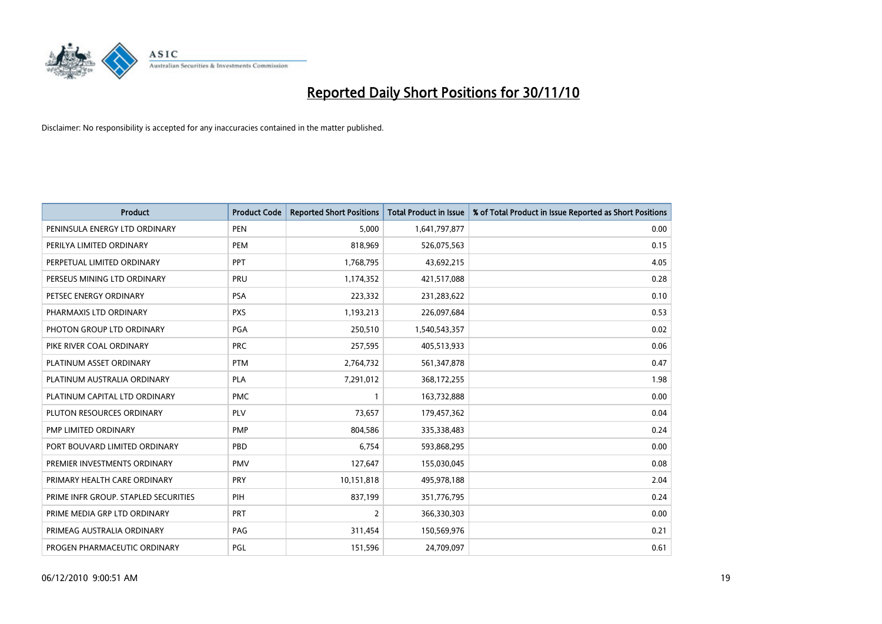

| <b>Product</b>                       | <b>Product Code</b> | <b>Reported Short Positions</b> | Total Product in Issue | % of Total Product in Issue Reported as Short Positions |
|--------------------------------------|---------------------|---------------------------------|------------------------|---------------------------------------------------------|
| PENINSULA ENERGY LTD ORDINARY        | <b>PEN</b>          | 5,000                           | 1,641,797,877          | 0.00                                                    |
| PERILYA LIMITED ORDINARY             | PEM                 | 818,969                         | 526,075,563            | 0.15                                                    |
| PERPETUAL LIMITED ORDINARY           | PPT                 | 1,768,795                       | 43,692,215             | 4.05                                                    |
| PERSEUS MINING LTD ORDINARY          | PRU                 | 1,174,352                       | 421,517,088            | 0.28                                                    |
| PETSEC ENERGY ORDINARY               | <b>PSA</b>          | 223,332                         | 231,283,622            | 0.10                                                    |
| PHARMAXIS LTD ORDINARY               | <b>PXS</b>          | 1,193,213                       | 226,097,684            | 0.53                                                    |
| PHOTON GROUP LTD ORDINARY            | PGA                 | 250,510                         | 1,540,543,357          | 0.02                                                    |
| PIKE RIVER COAL ORDINARY             | <b>PRC</b>          | 257,595                         | 405,513,933            | 0.06                                                    |
| PLATINUM ASSET ORDINARY              | <b>PTM</b>          | 2,764,732                       | 561,347,878            | 0.47                                                    |
| PLATINUM AUSTRALIA ORDINARY          | <b>PLA</b>          | 7,291,012                       | 368,172,255            | 1.98                                                    |
| PLATINUM CAPITAL LTD ORDINARY        | <b>PMC</b>          |                                 | 163,732,888            | 0.00                                                    |
| PLUTON RESOURCES ORDINARY            | PLV                 | 73,657                          | 179,457,362            | 0.04                                                    |
| PMP LIMITED ORDINARY                 | <b>PMP</b>          | 804,586                         | 335,338,483            | 0.24                                                    |
| PORT BOUVARD LIMITED ORDINARY        | PBD                 | 6,754                           | 593,868,295            | 0.00                                                    |
| PREMIER INVESTMENTS ORDINARY         | <b>PMV</b>          | 127,647                         | 155,030,045            | 0.08                                                    |
| PRIMARY HEALTH CARE ORDINARY         | <b>PRY</b>          | 10,151,818                      | 495,978,188            | 2.04                                                    |
| PRIME INFR GROUP. STAPLED SECURITIES | PIH                 | 837,199                         | 351,776,795            | 0.24                                                    |
| PRIME MEDIA GRP LTD ORDINARY         | PRT                 | $\overline{2}$                  | 366,330,303            | 0.00                                                    |
| PRIMEAG AUSTRALIA ORDINARY           | PAG                 | 311,454                         | 150,569,976            | 0.21                                                    |
| PROGEN PHARMACEUTIC ORDINARY         | PGL                 | 151,596                         | 24,709,097             | 0.61                                                    |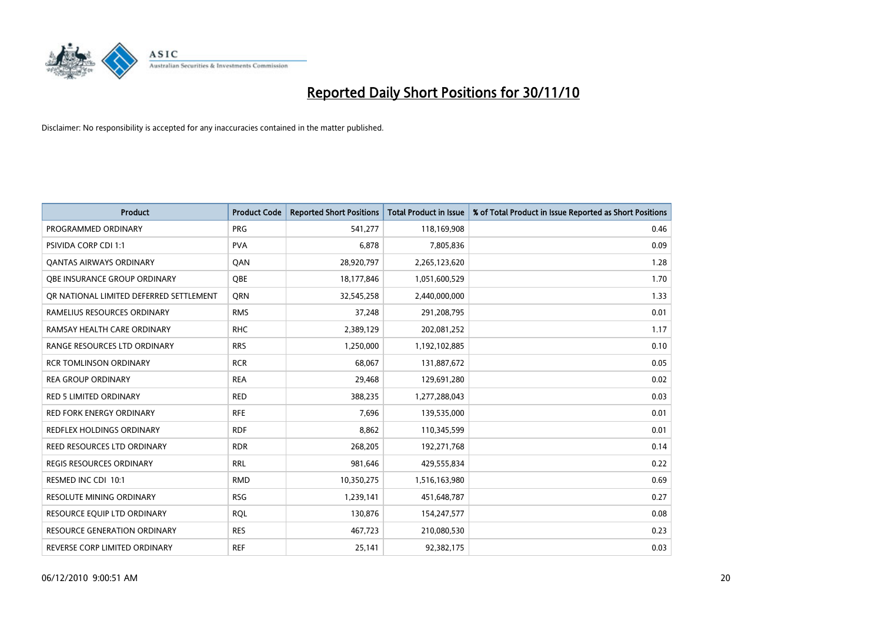

| <b>Product</b>                          | <b>Product Code</b> | <b>Reported Short Positions</b> | Total Product in Issue | % of Total Product in Issue Reported as Short Positions |
|-----------------------------------------|---------------------|---------------------------------|------------------------|---------------------------------------------------------|
| PROGRAMMED ORDINARY                     | <b>PRG</b>          | 541,277                         | 118,169,908            | 0.46                                                    |
| PSIVIDA CORP CDI 1:1                    | <b>PVA</b>          | 6,878                           | 7,805,836              | 0.09                                                    |
| <b>OANTAS AIRWAYS ORDINARY</b>          | QAN                 | 28,920,797                      | 2,265,123,620          | 1.28                                                    |
| OBE INSURANCE GROUP ORDINARY            | <b>OBE</b>          | 18,177,846                      | 1,051,600,529          | 1.70                                                    |
| OR NATIONAL LIMITED DEFERRED SETTLEMENT | <b>ORN</b>          | 32,545,258                      | 2,440,000,000          | 1.33                                                    |
| RAMELIUS RESOURCES ORDINARY             | <b>RMS</b>          | 37,248                          | 291,208,795            | 0.01                                                    |
| RAMSAY HEALTH CARE ORDINARY             | <b>RHC</b>          | 2,389,129                       | 202,081,252            | 1.17                                                    |
| RANGE RESOURCES LTD ORDINARY            | <b>RRS</b>          | 1,250,000                       | 1,192,102,885          | 0.10                                                    |
| <b>RCR TOMLINSON ORDINARY</b>           | <b>RCR</b>          | 68,067                          | 131,887,672            | 0.05                                                    |
| <b>REA GROUP ORDINARY</b>               | <b>REA</b>          | 29,468                          | 129,691,280            | 0.02                                                    |
| RED 5 LIMITED ORDINARY                  | <b>RED</b>          | 388,235                         | 1,277,288,043          | 0.03                                                    |
| <b>RED FORK ENERGY ORDINARY</b>         | <b>RFE</b>          | 7,696                           | 139,535,000            | 0.01                                                    |
| REDFLEX HOLDINGS ORDINARY               | <b>RDF</b>          | 8,862                           | 110,345,599            | 0.01                                                    |
| REED RESOURCES LTD ORDINARY             | <b>RDR</b>          | 268,205                         | 192,271,768            | 0.14                                                    |
| <b>REGIS RESOURCES ORDINARY</b>         | <b>RRL</b>          | 981,646                         | 429,555,834            | 0.22                                                    |
| RESMED INC CDI 10:1                     | <b>RMD</b>          | 10,350,275                      | 1,516,163,980          | 0.69                                                    |
| RESOLUTE MINING ORDINARY                | <b>RSG</b>          | 1,239,141                       | 451,648,787            | 0.27                                                    |
| RESOURCE EQUIP LTD ORDINARY             | <b>RQL</b>          | 130,876                         | 154,247,577            | 0.08                                                    |
| <b>RESOURCE GENERATION ORDINARY</b>     | <b>RES</b>          | 467,723                         | 210,080,530            | 0.23                                                    |
| REVERSE CORP LIMITED ORDINARY           | <b>REF</b>          | 25,141                          | 92,382,175             | 0.03                                                    |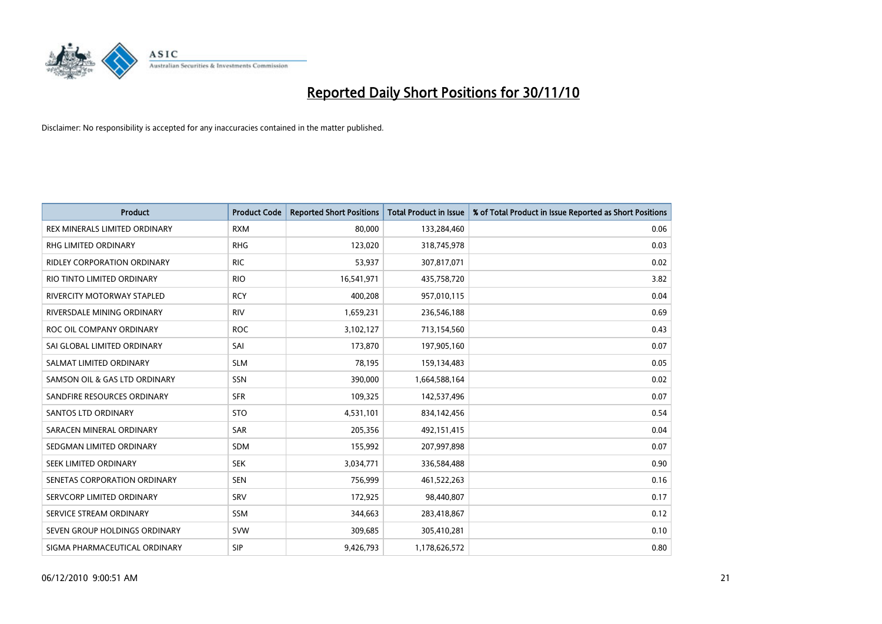

| <b>Product</b>                       | <b>Product Code</b> | <b>Reported Short Positions</b> | Total Product in Issue | % of Total Product in Issue Reported as Short Positions |
|--------------------------------------|---------------------|---------------------------------|------------------------|---------------------------------------------------------|
| <b>REX MINERALS LIMITED ORDINARY</b> | <b>RXM</b>          | 80,000                          | 133,284,460            | 0.06                                                    |
| RHG LIMITED ORDINARY                 | <b>RHG</b>          | 123,020                         | 318,745,978            | 0.03                                                    |
| <b>RIDLEY CORPORATION ORDINARY</b>   | <b>RIC</b>          | 53,937                          | 307,817,071            | 0.02                                                    |
| RIO TINTO LIMITED ORDINARY           | <b>RIO</b>          | 16,541,971                      | 435,758,720            | 3.82                                                    |
| <b>RIVERCITY MOTORWAY STAPLED</b>    | <b>RCY</b>          | 400,208                         | 957,010,115            | 0.04                                                    |
| RIVERSDALE MINING ORDINARY           | <b>RIV</b>          | 1,659,231                       | 236,546,188            | 0.69                                                    |
| ROC OIL COMPANY ORDINARY             | <b>ROC</b>          | 3,102,127                       | 713,154,560            | 0.43                                                    |
| SAI GLOBAL LIMITED ORDINARY          | SAI                 | 173,870                         | 197,905,160            | 0.07                                                    |
| SALMAT LIMITED ORDINARY              | <b>SLM</b>          | 78,195                          | 159,134,483            | 0.05                                                    |
| SAMSON OIL & GAS LTD ORDINARY        | SSN                 | 390,000                         | 1,664,588,164          | 0.02                                                    |
| SANDFIRE RESOURCES ORDINARY          | <b>SFR</b>          | 109,325                         | 142,537,496            | 0.07                                                    |
| <b>SANTOS LTD ORDINARY</b>           | <b>STO</b>          | 4,531,101                       | 834,142,456            | 0.54                                                    |
| SARACEN MINERAL ORDINARY             | <b>SAR</b>          | 205,356                         | 492,151,415            | 0.04                                                    |
| SEDGMAN LIMITED ORDINARY             | <b>SDM</b>          | 155,992                         | 207,997,898            | 0.07                                                    |
| SEEK LIMITED ORDINARY                | <b>SEK</b>          | 3,034,771                       | 336,584,488            | 0.90                                                    |
| SENETAS CORPORATION ORDINARY         | <b>SEN</b>          | 756,999                         | 461,522,263            | 0.16                                                    |
| SERVCORP LIMITED ORDINARY            | SRV                 | 172,925                         | 98,440,807             | 0.17                                                    |
| SERVICE STREAM ORDINARY              | <b>SSM</b>          | 344,663                         | 283,418,867            | 0.12                                                    |
| SEVEN GROUP HOLDINGS ORDINARY        | <b>SVW</b>          | 309,685                         | 305,410,281            | 0.10                                                    |
| SIGMA PHARMACEUTICAL ORDINARY        | SIP                 | 9,426,793                       | 1,178,626,572          | 0.80                                                    |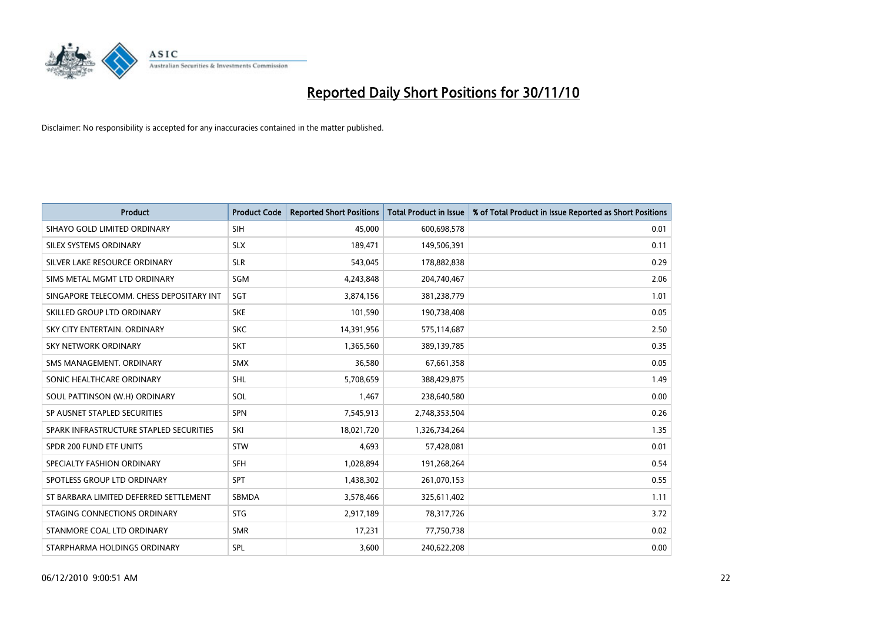

| <b>Product</b>                           | <b>Product Code</b> | <b>Reported Short Positions</b> | Total Product in Issue | % of Total Product in Issue Reported as Short Positions |
|------------------------------------------|---------------------|---------------------------------|------------------------|---------------------------------------------------------|
| SIHAYO GOLD LIMITED ORDINARY             | <b>SIH</b>          | 45,000                          | 600,698,578            | 0.01                                                    |
| SILEX SYSTEMS ORDINARY                   | <b>SLX</b>          | 189,471                         | 149,506,391            | 0.11                                                    |
| SILVER LAKE RESOURCE ORDINARY            | <b>SLR</b>          | 543,045                         | 178,882,838            | 0.29                                                    |
| SIMS METAL MGMT LTD ORDINARY             | SGM                 | 4,243,848                       | 204,740,467            | 2.06                                                    |
| SINGAPORE TELECOMM. CHESS DEPOSITARY INT | SGT                 | 3,874,156                       | 381,238,779            | 1.01                                                    |
| SKILLED GROUP LTD ORDINARY               | <b>SKE</b>          | 101,590                         | 190,738,408            | 0.05                                                    |
| SKY CITY ENTERTAIN, ORDINARY             | <b>SKC</b>          | 14,391,956                      | 575,114,687            | 2.50                                                    |
| SKY NETWORK ORDINARY                     | <b>SKT</b>          | 1,365,560                       | 389,139,785            | 0.35                                                    |
| SMS MANAGEMENT, ORDINARY                 | <b>SMX</b>          | 36,580                          | 67,661,358             | 0.05                                                    |
| SONIC HEALTHCARE ORDINARY                | <b>SHL</b>          | 5,708,659                       | 388,429,875            | 1.49                                                    |
| SOUL PATTINSON (W.H) ORDINARY            | SOL                 | 1,467                           | 238,640,580            | 0.00                                                    |
| SP AUSNET STAPLED SECURITIES             | <b>SPN</b>          | 7,545,913                       | 2,748,353,504          | 0.26                                                    |
| SPARK INFRASTRUCTURE STAPLED SECURITIES  | SKI                 | 18,021,720                      | 1,326,734,264          | 1.35                                                    |
| SPDR 200 FUND ETF UNITS                  | <b>STW</b>          | 4,693                           | 57,428,081             | 0.01                                                    |
| SPECIALTY FASHION ORDINARY               | <b>SFH</b>          | 1,028,894                       | 191,268,264            | 0.54                                                    |
| SPOTLESS GROUP LTD ORDINARY              | <b>SPT</b>          | 1,438,302                       | 261,070,153            | 0.55                                                    |
| ST BARBARA LIMITED DEFERRED SETTLEMENT   | SBMDA               | 3,578,466                       | 325,611,402            | 1.11                                                    |
| STAGING CONNECTIONS ORDINARY             | <b>STG</b>          | 2,917,189                       | 78,317,726             | 3.72                                                    |
| STANMORE COAL LTD ORDINARY               | <b>SMR</b>          | 17,231                          | 77,750,738             | 0.02                                                    |
| STARPHARMA HOLDINGS ORDINARY             | SPL                 | 3,600                           | 240,622,208            | 0.00                                                    |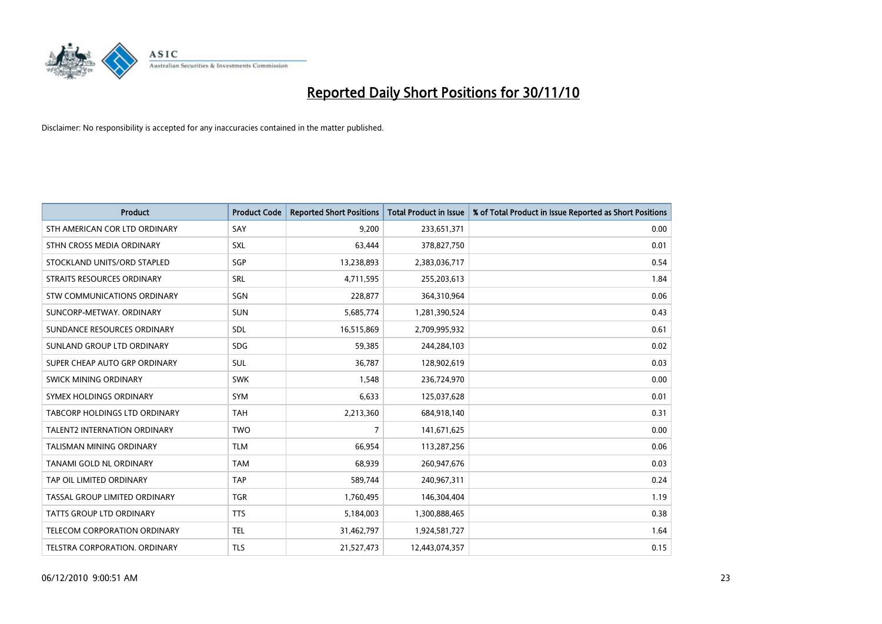

| <b>Product</b>                       | <b>Product Code</b> | <b>Reported Short Positions</b> | <b>Total Product in Issue</b> | % of Total Product in Issue Reported as Short Positions |
|--------------------------------------|---------------------|---------------------------------|-------------------------------|---------------------------------------------------------|
| STH AMERICAN COR LTD ORDINARY        | SAY                 | 9,200                           | 233,651,371                   | 0.00                                                    |
| STHN CROSS MEDIA ORDINARY            | SXL                 | 63,444                          | 378,827,750                   | 0.01                                                    |
| STOCKLAND UNITS/ORD STAPLED          | SGP                 | 13,238,893                      | 2,383,036,717                 | 0.54                                                    |
| STRAITS RESOURCES ORDINARY           | SRL                 | 4,711,595                       | 255,203,613                   | 1.84                                                    |
| STW COMMUNICATIONS ORDINARY          | SGN                 | 228,877                         | 364,310,964                   | 0.06                                                    |
| SUNCORP-METWAY, ORDINARY             | <b>SUN</b>          | 5,685,774                       | 1,281,390,524                 | 0.43                                                    |
| SUNDANCE RESOURCES ORDINARY          | <b>SDL</b>          | 16,515,869                      | 2,709,995,932                 | 0.61                                                    |
| SUNLAND GROUP LTD ORDINARY           | <b>SDG</b>          | 59,385                          | 244,284,103                   | 0.02                                                    |
| SUPER CHEAP AUTO GRP ORDINARY        | SUL                 | 36,787                          | 128,902,619                   | 0.03                                                    |
| SWICK MINING ORDINARY                | SWK                 | 1,548                           | 236,724,970                   | 0.00                                                    |
| SYMEX HOLDINGS ORDINARY              | SYM                 | 6,633                           | 125,037,628                   | 0.01                                                    |
| <b>TABCORP HOLDINGS LTD ORDINARY</b> | <b>TAH</b>          | 2,213,360                       | 684,918,140                   | 0.31                                                    |
| <b>TALENT2 INTERNATION ORDINARY</b>  | <b>TWO</b>          | 7                               | 141,671,625                   | 0.00                                                    |
| <b>TALISMAN MINING ORDINARY</b>      | <b>TLM</b>          | 66,954                          | 113,287,256                   | 0.06                                                    |
| TANAMI GOLD NL ORDINARY              | <b>TAM</b>          | 68,939                          | 260,947,676                   | 0.03                                                    |
| TAP OIL LIMITED ORDINARY             | <b>TAP</b>          | 589,744                         | 240,967,311                   | 0.24                                                    |
| TASSAL GROUP LIMITED ORDINARY        | <b>TGR</b>          | 1,760,495                       | 146,304,404                   | 1.19                                                    |
| <b>TATTS GROUP LTD ORDINARY</b>      | <b>TTS</b>          | 5,184,003                       | 1,300,888,465                 | 0.38                                                    |
| TELECOM CORPORATION ORDINARY         | <b>TEL</b>          | 31,462,797                      | 1,924,581,727                 | 1.64                                                    |
| TELSTRA CORPORATION. ORDINARY        | <b>TLS</b>          | 21,527,473                      | 12,443,074,357                | 0.15                                                    |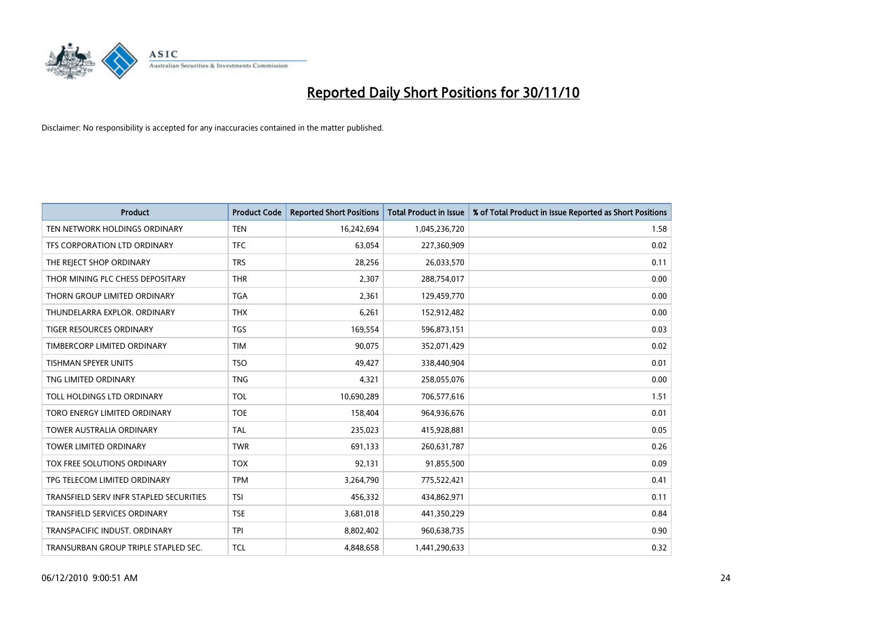

| <b>Product</b>                          | <b>Product Code</b> | <b>Reported Short Positions</b> | <b>Total Product in Issue</b> | % of Total Product in Issue Reported as Short Positions |
|-----------------------------------------|---------------------|---------------------------------|-------------------------------|---------------------------------------------------------|
| TEN NETWORK HOLDINGS ORDINARY           | <b>TEN</b>          | 16,242,694                      | 1,045,236,720                 | 1.58                                                    |
| TFS CORPORATION LTD ORDINARY            | <b>TFC</b>          | 63,054                          | 227,360,909                   | 0.02                                                    |
| THE REJECT SHOP ORDINARY                | <b>TRS</b>          | 28,256                          | 26,033,570                    | 0.11                                                    |
| THOR MINING PLC CHESS DEPOSITARY        | <b>THR</b>          | 2,307                           | 288,754,017                   | 0.00                                                    |
| THORN GROUP LIMITED ORDINARY            | <b>TGA</b>          | 2,361                           | 129,459,770                   | 0.00                                                    |
| THUNDELARRA EXPLOR, ORDINARY            | <b>THX</b>          | 6,261                           | 152,912,482                   | 0.00                                                    |
| <b>TIGER RESOURCES ORDINARY</b>         | <b>TGS</b>          | 169,554                         | 596,873,151                   | 0.03                                                    |
| TIMBERCORP LIMITED ORDINARY             | <b>TIM</b>          | 90,075                          | 352,071,429                   | 0.02                                                    |
| <b>TISHMAN SPEYER UNITS</b>             | <b>TSO</b>          | 49,427                          | 338,440,904                   | 0.01                                                    |
| TNG LIMITED ORDINARY                    | <b>TNG</b>          | 4,321                           | 258,055,076                   | 0.00                                                    |
| TOLL HOLDINGS LTD ORDINARY              | <b>TOL</b>          | 10,690,289                      | 706,577,616                   | 1.51                                                    |
| TORO ENERGY LIMITED ORDINARY            | <b>TOE</b>          | 158,404                         | 964,936,676                   | 0.01                                                    |
| <b>TOWER AUSTRALIA ORDINARY</b>         | <b>TAL</b>          | 235,023                         | 415,928,881                   | 0.05                                                    |
| <b>TOWER LIMITED ORDINARY</b>           | <b>TWR</b>          | 691,133                         | 260,631,787                   | 0.26                                                    |
| TOX FREE SOLUTIONS ORDINARY             | <b>TOX</b>          | 92,131                          | 91,855,500                    | 0.09                                                    |
| TPG TELECOM LIMITED ORDINARY            | <b>TPM</b>          | 3,264,790                       | 775,522,421                   | 0.41                                                    |
| TRANSFIELD SERV INFR STAPLED SECURITIES | <b>TSI</b>          | 456,332                         | 434,862,971                   | 0.11                                                    |
| TRANSFIELD SERVICES ORDINARY            | <b>TSE</b>          | 3,681,018                       | 441,350,229                   | 0.84                                                    |
| TRANSPACIFIC INDUST, ORDINARY           | <b>TPI</b>          | 8,802,402                       | 960,638,735                   | 0.90                                                    |
| TRANSURBAN GROUP TRIPLE STAPLED SEC.    | <b>TCL</b>          | 4.848.658                       | 1,441,290,633                 | 0.32                                                    |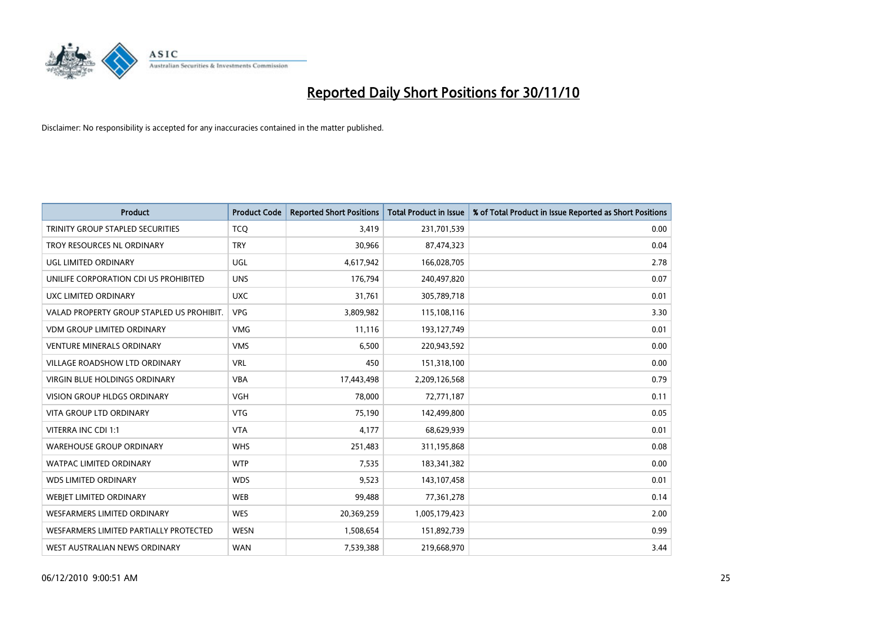

| <b>Product</b>                            | <b>Product Code</b> | <b>Reported Short Positions</b> | <b>Total Product in Issue</b> | % of Total Product in Issue Reported as Short Positions |
|-------------------------------------------|---------------------|---------------------------------|-------------------------------|---------------------------------------------------------|
| TRINITY GROUP STAPLED SECURITIES          | <b>TCQ</b>          | 3,419                           | 231,701,539                   | 0.00                                                    |
| TROY RESOURCES NL ORDINARY                | <b>TRY</b>          | 30,966                          | 87,474,323                    | 0.04                                                    |
| UGL LIMITED ORDINARY                      | UGL                 | 4,617,942                       | 166,028,705                   | 2.78                                                    |
| UNILIFE CORPORATION CDI US PROHIBITED     | <b>UNS</b>          | 176,794                         | 240,497,820                   | 0.07                                                    |
| UXC LIMITED ORDINARY                      | <b>UXC</b>          | 31,761                          | 305,789,718                   | 0.01                                                    |
| VALAD PROPERTY GROUP STAPLED US PROHIBIT. | <b>VPG</b>          | 3,809,982                       | 115,108,116                   | 3.30                                                    |
| <b>VDM GROUP LIMITED ORDINARY</b>         | <b>VMG</b>          | 11,116                          | 193,127,749                   | 0.01                                                    |
| <b>VENTURE MINERALS ORDINARY</b>          | <b>VMS</b>          | 6,500                           | 220,943,592                   | 0.00                                                    |
| <b>VILLAGE ROADSHOW LTD ORDINARY</b>      | <b>VRL</b>          | 450                             | 151,318,100                   | 0.00                                                    |
| <b>VIRGIN BLUE HOLDINGS ORDINARY</b>      | <b>VBA</b>          | 17,443,498                      | 2,209,126,568                 | 0.79                                                    |
| VISION GROUP HLDGS ORDINARY               | <b>VGH</b>          | 78,000                          | 72,771,187                    | 0.11                                                    |
| <b>VITA GROUP LTD ORDINARY</b>            | <b>VTG</b>          | 75,190                          | 142,499,800                   | 0.05                                                    |
| VITERRA INC CDI 1:1                       | <b>VTA</b>          | 4,177                           | 68,629,939                    | 0.01                                                    |
| <b>WAREHOUSE GROUP ORDINARY</b>           | <b>WHS</b>          | 251,483                         | 311,195,868                   | 0.08                                                    |
| <b>WATPAC LIMITED ORDINARY</b>            | <b>WTP</b>          | 7,535                           | 183,341,382                   | 0.00                                                    |
| <b>WDS LIMITED ORDINARY</b>               | <b>WDS</b>          | 9,523                           | 143,107,458                   | 0.01                                                    |
| <b>WEBJET LIMITED ORDINARY</b>            | <b>WEB</b>          | 99,488                          | 77,361,278                    | 0.14                                                    |
| <b>WESFARMERS LIMITED ORDINARY</b>        | <b>WES</b>          | 20,369,259                      | 1,005,179,423                 | 2.00                                                    |
| WESFARMERS LIMITED PARTIALLY PROTECTED    | <b>WESN</b>         | 1,508,654                       | 151,892,739                   | 0.99                                                    |
| WEST AUSTRALIAN NEWS ORDINARY             | <b>WAN</b>          | 7,539,388                       | 219,668,970                   | 3.44                                                    |